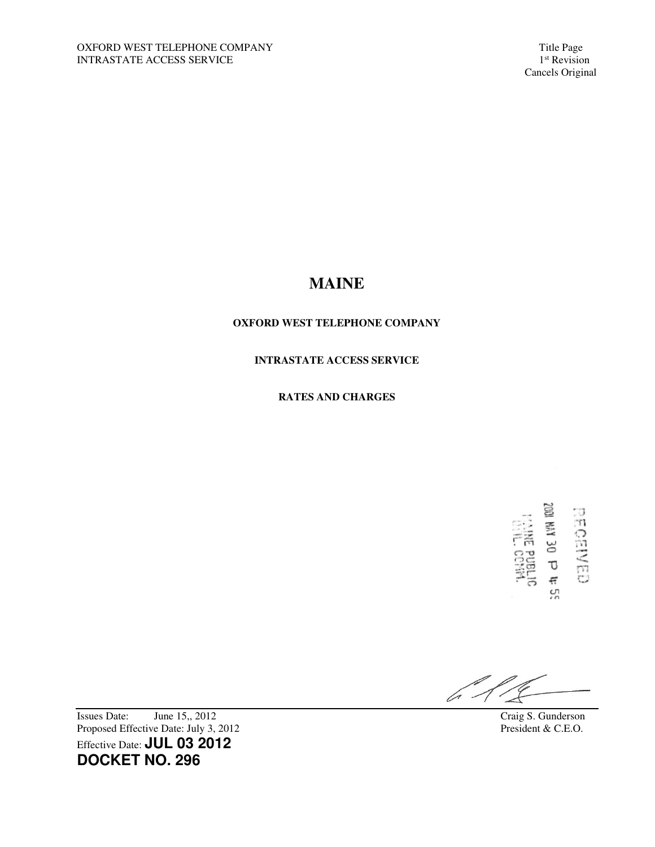Cancels Original

## **MAINE**

## **OXFORD WEST TELEPHONE COMPANY**

## **INTRASTATE ACCESS SERVICE**

## **RATES AND CHARGES**

11 d 02 AM 1002 **EECENED** …<br>ころ<br>空号 ςņ

 $\mathbb{Z}^2$ 

Issues Date: June 15,, 2012<br>
Proposed Effective Date: July 3, 2012<br>
President & C.E.O. Proposed Effective Date: July 3, 2012 Effective Date: **JUL 03 2012 DOCKET NO. 296**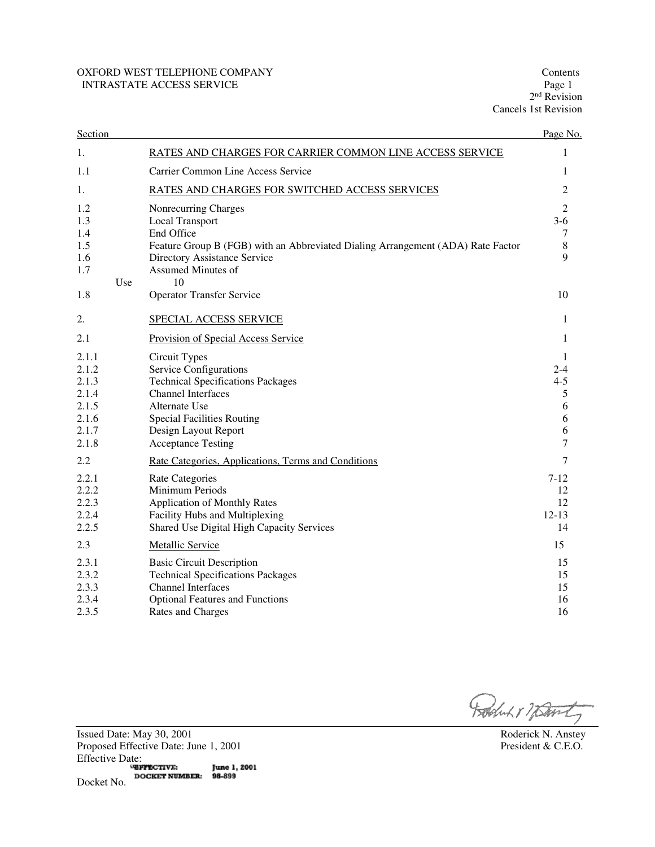## OXFORD WEST TELEPHONE COMPANY Contents Contents Contents Contents Contents Page 1 INTRASTATE ACCESS SERVICE

2<sup>nd</sup> Revision Cancels 1st Revision

| Section        |     |                                                                                                                 | Page No.        |
|----------------|-----|-----------------------------------------------------------------------------------------------------------------|-----------------|
| 1.             |     | RATES AND CHARGES FOR CARRIER COMMON LINE ACCESS SERVICE                                                        | 1               |
| 1.1            |     | Carrier Common Line Access Service                                                                              | 1               |
| 1.             |     | RATES AND CHARGES FOR SWITCHED ACCESS SERVICES                                                                  | 2               |
| 1.2            |     | Nonrecurring Charges                                                                                            | $\overline{2}$  |
| 1.3            |     | <b>Local Transport</b>                                                                                          | $3-6$           |
| 1.4<br>1.5     |     | End Office                                                                                                      | 7<br>8          |
| 1.6            |     | Feature Group B (FGB) with an Abbreviated Dialing Arrangement (ADA) Rate Factor<br>Directory Assistance Service | $\mathbf Q$     |
| 1.7            |     | Assumed Minutes of                                                                                              |                 |
|                | Use | 10                                                                                                              |                 |
| 1.8            |     | <b>Operator Transfer Service</b>                                                                                | 10              |
| 2.             |     | SPECIAL ACCESS SERVICE                                                                                          | 1               |
| 2.1            |     | Provision of Special Access Service                                                                             | 1               |
| 2.1.1          |     | Circuit Types                                                                                                   | 1               |
| 2.1.2          |     | Service Configurations                                                                                          | $2 - 4$         |
| 2.1.3          |     | <b>Technical Specifications Packages</b>                                                                        | $4 - 5$         |
| 2.1.4<br>2.1.5 |     | <b>Channel Interfaces</b><br>Alternate Use                                                                      | 5<br>6          |
| 2.1.6          |     | <b>Special Facilities Routing</b>                                                                               | 6               |
| 2.1.7          |     | Design Layout Report                                                                                            | 6               |
| 2.1.8          |     | <b>Acceptance Testing</b>                                                                                       | 7               |
| 2.2            |     | Rate Categories, Applications, Terms and Conditions                                                             | 7               |
| 2.2.1          |     | <b>Rate Categories</b>                                                                                          | $7 - 12$        |
| 2.2.2          |     | Minimum Periods                                                                                                 | 12              |
| 2.2.3          |     | <b>Application of Monthly Rates</b>                                                                             | 12              |
| 2.2.4<br>2.2.5 |     | Facility Hubs and Multiplexing<br>Shared Use Digital High Capacity Services                                     | $12 - 13$<br>14 |
|                |     |                                                                                                                 |                 |
| 2.3            |     | <b>Metallic Service</b>                                                                                         | 15              |
| 2.3.1          |     | <b>Basic Circuit Description</b>                                                                                | 15              |
| 2.3.2          |     | <b>Technical Specifications Packages</b><br><b>Channel Interfaces</b>                                           | 15              |
| 2.3.3<br>2.3.4 |     | <b>Optional Features and Functions</b>                                                                          | 15<br>16        |
| 2.3.5          |     | Rates and Charges                                                                                               | 16              |
|                |     |                                                                                                                 |                 |

Rochut 17 David

Issued Date: May 30, 2001 Roderick N. Anstey<br>Proposed Effective Date: June 1, 2001 President & C.E.O. Proposed Effective Date: June 1, 2001 Effective Date: June 1, 2001 **DOCKET NUMBER:** 98-899 Docket No.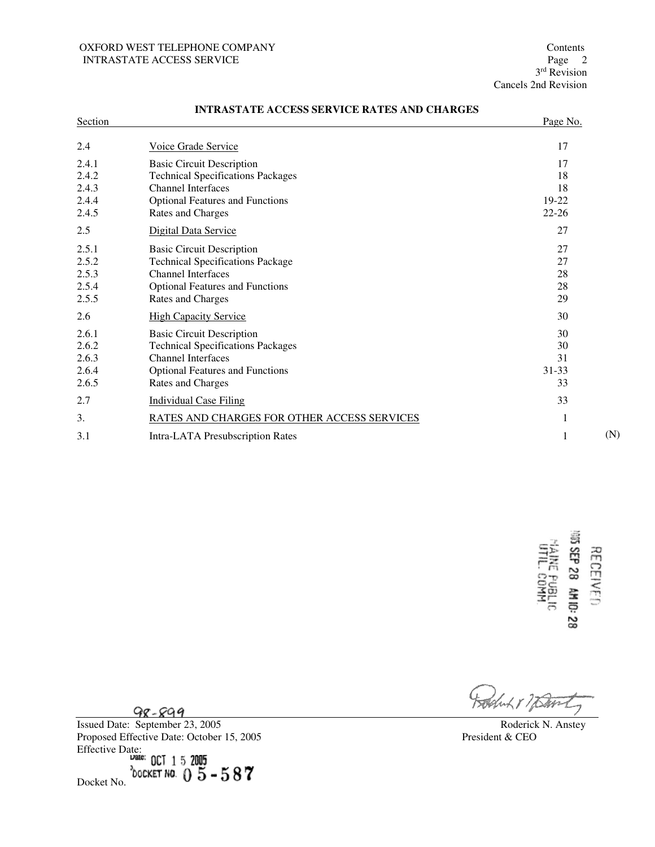## OXFORD WEST TELEPHONE COMPANY Contents Contents Contents Contents Contents Page 2 INTRASTATE ACCESS SERVICE

3<sup>rd</sup> Revision Cancels 2nd Revision

| Section                                   |                                                                                                                                                                          | Page No.                             |     |
|-------------------------------------------|--------------------------------------------------------------------------------------------------------------------------------------------------------------------------|--------------------------------------|-----|
| 2.4                                       | Voice Grade Service                                                                                                                                                      | 17                                   |     |
| 2.4.1<br>2.4.2<br>2.4.3<br>2.4.4<br>2.4.5 | <b>Basic Circuit Description</b><br><b>Technical Specifications Packages</b><br><b>Channel Interfaces</b><br><b>Optional Features and Functions</b><br>Rates and Charges | 17<br>18<br>18<br>19-22<br>$22 - 26$ |     |
| 2.5                                       | Digital Data Service                                                                                                                                                     | 27                                   |     |
| 2.5.1<br>2.5.2<br>2.5.3<br>2.5.4<br>2.5.5 | <b>Basic Circuit Description</b><br><b>Technical Specifications Package</b><br><b>Channel Interfaces</b><br><b>Optional Features and Functions</b><br>Rates and Charges  | 27<br>27<br>28<br>28<br>29           |     |
| 2.6                                       | <b>High Capacity Service</b>                                                                                                                                             | 30                                   |     |
| 2.6.1<br>2.6.2<br>2.6.3<br>2.6.4<br>2.6.5 | <b>Basic Circuit Description</b><br><b>Technical Specifications Packages</b><br>Channel Interfaces<br><b>Optional Features and Functions</b><br>Rates and Charges        | 30<br>30<br>31<br>31-33<br>33        |     |
| 2.7                                       | <b>Individual Case Filing</b>                                                                                                                                            | 33                                   |     |
| 3.                                        | RATES AND CHARGES FOR OTHER ACCESS SERVICES                                                                                                                              | 1                                    |     |
| 3.1                                       | Intra-LATA Presubscription Rates                                                                                                                                         | 1                                    | (N) |
|                                           |                                                                                                                                                                          |                                      |     |

## **INTRASTATE ACCESS SERVICE RATES AND CHARGES**



Luch 8 / Dans

 $98 - 899$ 

 $\overline{a}$ 

Issued Date: September 23, 2005 Roderick N. Anstey Proposed Effective Date: October 15, 2005 President & CEO Effective Date: Docket No.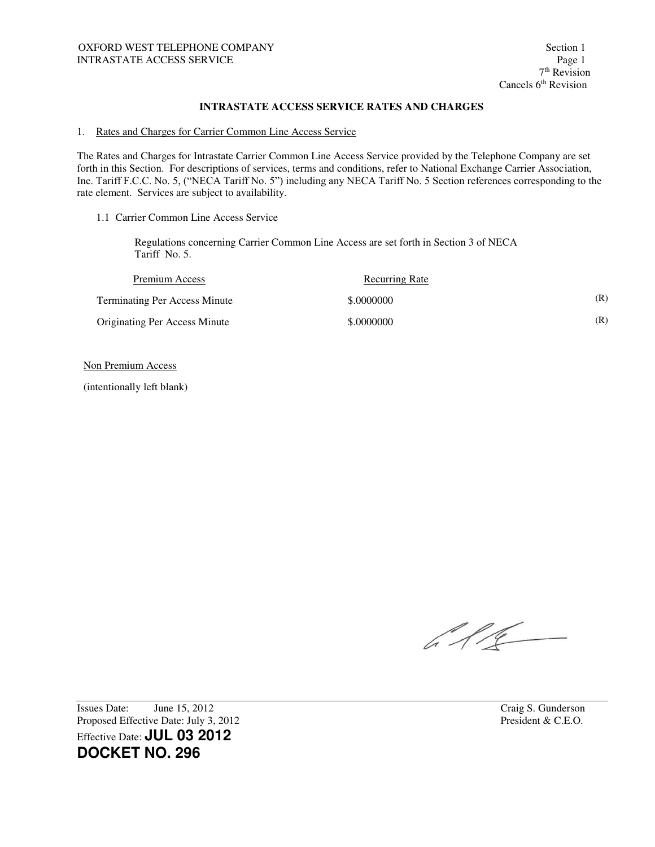#### 1. Rates and Charges for Carrier Common Line Access Service

The Rates and Charges for Intrastate Carrier Common Line Access Service provided by the Telephone Company are set forth in this Section. For descriptions of services, terms and conditions, refer to National Exchange Carrier Association, Inc. Tariff F.C.C. No. 5, ("NECA Tariff No. 5") including any NECA Tariff No. 5 Section references corresponding to the rate element. Services are subject to availability.

1.1 Carrier Common Line Access Service

Regulations concerning Carrier Common Line Access are set forth in Section 3 of NECA Tariff No. 5.

| Premium Access                       | <b>Recurring Rate</b> |     |
|--------------------------------------|-----------------------|-----|
| <b>Terminating Per Access Minute</b> | \$.0000000            | (R) |
| <b>Originating Per Access Minute</b> | \$,0000000            | (R) |

Non Premium Access

(intentionally left blank)

 $\sqrt{16}$ 

Issues Date: June 15, 2012 Craig S. Gunderson Proposed Effective Date: July 3, 2012 President & C.E.O. Effective Date: **JUL 03 2012 DOCKET NO. 296**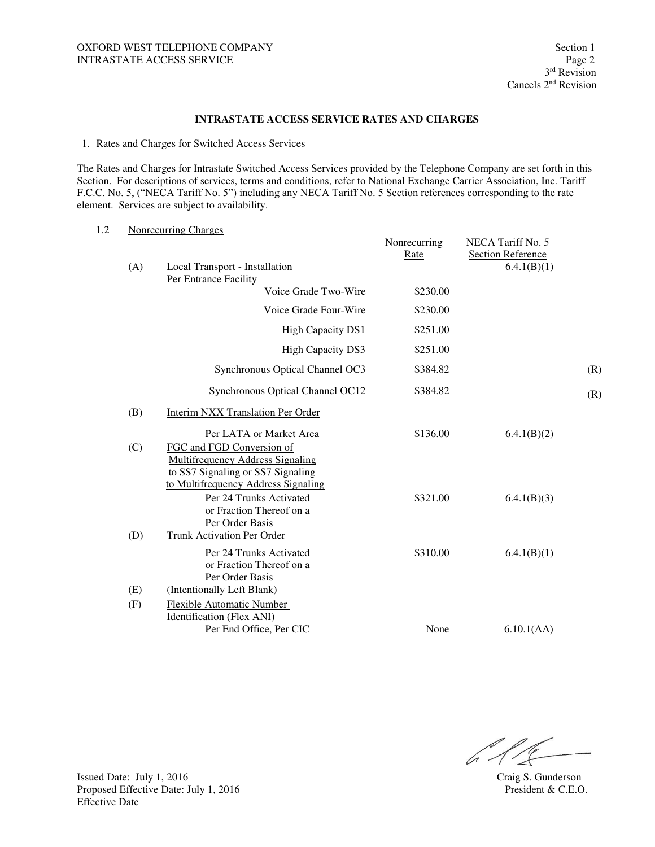#### 1. Rates and Charges for Switched Access Services

The Rates and Charges for Intrastate Switched Access Services provided by the Telephone Company are set forth in this Section. For descriptions of services, terms and conditions, refer to National Exchange Carrier Association, Inc. Tariff F.C.C. No. 5, ("NECA Tariff No. 5") including any NECA Tariff No. 5 Section references corresponding to the rate element. Services are subject to availability.

| 1.2 |     | <b>Nonrecurring Charges</b>                                                                                                                        | Nonrecurring | NECA Tariff No. 5                       |     |
|-----|-----|----------------------------------------------------------------------------------------------------------------------------------------------------|--------------|-----------------------------------------|-----|
|     | (A) | Local Transport - Installation<br>Per Entrance Facility                                                                                            | Rate         | <b>Section Reference</b><br>6.4.1(B)(1) |     |
|     |     | Voice Grade Two-Wire                                                                                                                               | \$230.00     |                                         |     |
|     |     | Voice Grade Four-Wire                                                                                                                              | \$230.00     |                                         |     |
|     |     | <b>High Capacity DS1</b>                                                                                                                           | \$251.00     |                                         |     |
|     |     | <b>High Capacity DS3</b>                                                                                                                           | \$251.00     |                                         |     |
|     |     | Synchronous Optical Channel OC3                                                                                                                    | \$384.82     |                                         | (R) |
|     |     | Synchronous Optical Channel OC12                                                                                                                   | \$384.82     |                                         | (R) |
|     | (B) | Interim NXX Translation Per Order                                                                                                                  |              |                                         |     |
|     | (C) | Per LATA or Market Area<br>FGC and FGD Conversion of<br><b>Multifrequency Address Signaling</b><br>to SS7 Signaling or SS7 Signaling               | \$136.00     | 6.4.1(B)(2)                             |     |
|     | (D) | to Multifrequency Address Signaling<br>Per 24 Trunks Activated<br>or Fraction Thereof on a<br>Per Order Basis<br><b>Trunk Activation Per Order</b> | \$321.00     | 6.4.1(B)(3)                             |     |
|     | (E) | Per 24 Trunks Activated<br>or Fraction Thereof on a<br>Per Order Basis<br>(Intentionally Left Blank)                                               | \$310.00     | 6.4.1(B)(1)                             |     |
|     | (F) | Flexible Automatic Number<br>Identification (Flex ANI)<br>Per End Office, Per CIC                                                                  | None         | 6.10.1(AA)                              |     |

 $\mathbb{Z}^n$  $\mathscr{C}$ 

Issued Date: July 1, 2016 Craig S. Gunderson Proposed Effective Date: July 1, 2016 President & C.E.O. Effective Date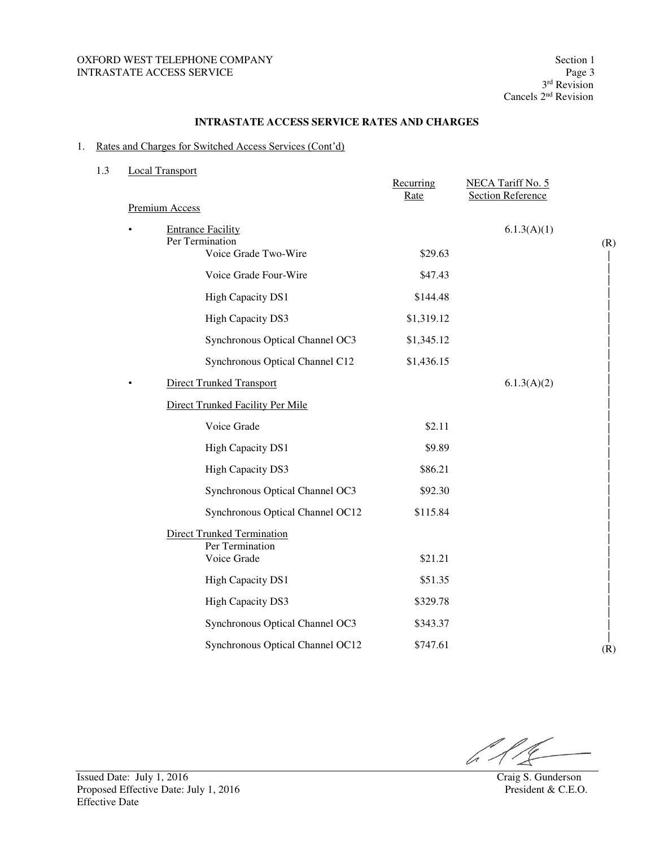## OXFORD WEST TELEPHONE COMPANY Section 1 INTRASTATE ACCESS SERVICE

#### **INTRASTATE ACCESS SERVICE RATES AND CHARGES**

## 1. Rates and Charges for Switched Access Services (Cont'd)

| 1.3 | <b>Local Transport</b>                      | Recurring<br>Rate | NECA Tariff No. 5<br><b>Section Reference</b> |     |
|-----|---------------------------------------------|-------------------|-----------------------------------------------|-----|
|     | <b>Premium Access</b>                       |                   |                                               |     |
|     | <b>Entrance Facility</b><br>Per Termination |                   | 6.1.3(A)(1)                                   |     |
|     | Voice Grade Two-Wire                        | \$29.63           |                                               | (R) |
|     | Voice Grade Four-Wire                       | \$47.43           |                                               |     |
|     | <b>High Capacity DS1</b>                    | \$144.48          |                                               |     |
|     | <b>High Capacity DS3</b>                    | \$1,319.12        |                                               |     |
|     | Synchronous Optical Channel OC3             | \$1,345.12        |                                               |     |
|     | Synchronous Optical Channel C12             | \$1,436.15        |                                               |     |
|     | <b>Direct Trunked Transport</b>             |                   | 6.1.3(A)(2)                                   |     |
|     | Direct Trunked Facility Per Mile            |                   |                                               |     |
|     | Voice Grade                                 | \$2.11            |                                               |     |
|     | High Capacity DS1                           | \$9.89            |                                               |     |
|     | <b>High Capacity DS3</b>                    | \$86.21           |                                               |     |
|     | Synchronous Optical Channel OC3             | \$92.30           |                                               |     |
|     | Synchronous Optical Channel OC12            | \$115.84          |                                               |     |
|     | <b>Direct Trunked Termination</b>           |                   |                                               |     |
|     | Per Termination<br>Voice Grade              | \$21.21           |                                               |     |
|     | <b>High Capacity DS1</b>                    | \$51.35           |                                               |     |
|     | <b>High Capacity DS3</b>                    | \$329.78          |                                               |     |
|     | Synchronous Optical Channel OC3             | \$343.37          |                                               |     |
|     | Synchronous Optical Channel OC12            | \$747.61          |                                               | (R) |
|     |                                             |                   |                                               |     |

611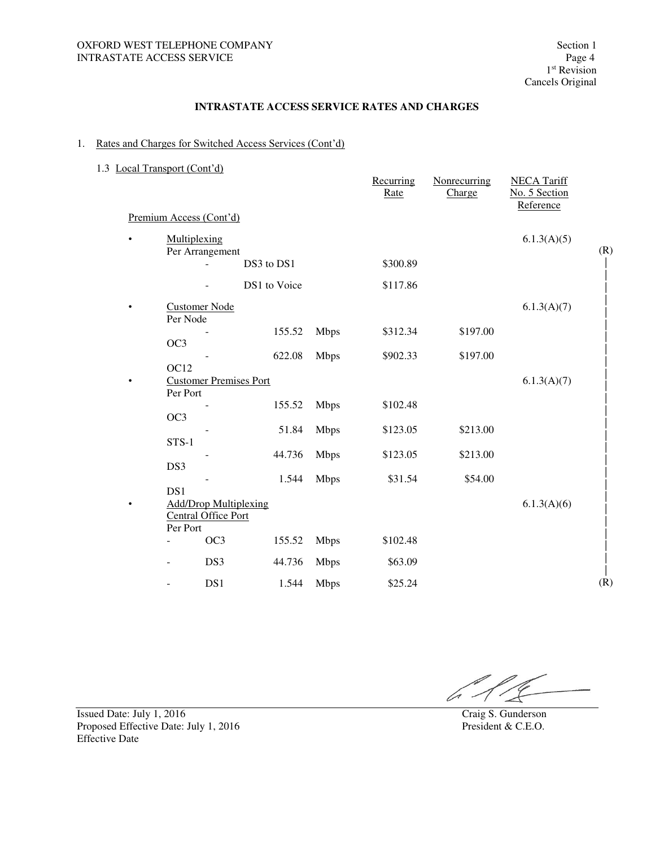## 1. Rates and Charges for Switched Access Services (Cont'd)

## 1.3 Local Transport (Cont'd)

|           |                                  |                               |              |             | Recurring<br>Rate | Nonrecurring<br>Charge | <b>NECA Tariff</b><br>No. 5 Section<br>Reference |     |
|-----------|----------------------------------|-------------------------------|--------------|-------------|-------------------|------------------------|--------------------------------------------------|-----|
|           | Premium Access (Cont'd)          |                               |              |             |                   |                        |                                                  |     |
|           | Multiplexing<br>Per Arrangement  |                               |              |             |                   |                        | 6.1.3(A)(5)                                      | (R) |
|           |                                  |                               | DS3 to DS1   |             | \$300.89          |                        |                                                  |     |
|           |                                  |                               | DS1 to Voice |             | \$117.86          |                        |                                                  |     |
| $\bullet$ | <b>Customer Node</b><br>Per Node |                               |              |             |                   |                        | 6.1.3(A)(7)                                      |     |
|           | OC3                              |                               | 155.52       | <b>Mbps</b> | \$312.34          | \$197.00               |                                                  |     |
|           |                                  |                               | 622.08       | <b>Mbps</b> | \$902.33          | \$197.00               |                                                  |     |
|           | OC <sub>12</sub><br>Per Port     | <b>Customer Premises Port</b> |              |             |                   |                        | 6.1.3(A)(7)                                      |     |
|           | OC3                              |                               | 155.52       | <b>Mbps</b> | \$102.48          |                        |                                                  |     |
|           | STS-1                            |                               | 51.84        | <b>Mbps</b> | \$123.05          | \$213.00               |                                                  |     |
|           |                                  |                               | 44.736       | <b>Mbps</b> | \$123.05          | \$213.00               |                                                  |     |
|           | DS3<br>DS1                       |                               | 1.544        | <b>Mbps</b> | \$31.54           | \$54.00                |                                                  |     |
|           | Central Office Port              | <b>Add/Drop Multiplexing</b>  |              |             |                   |                        | 6.1.3(A)(6)                                      |     |
|           | Per Port                         | OC3                           | 155.52       | <b>Mbps</b> | \$102.48          |                        |                                                  |     |
|           |                                  | DS3                           | 44.736       | <b>Mbps</b> | \$63.09           |                        |                                                  |     |
|           |                                  | DS1                           | 1.544        | <b>Mbps</b> | \$25.24           |                        |                                                  | (R) |

Issued Date: July 1, 2016 Craig S. Gunderson Proposed Effective Date: July 1, 2016 President & C.E.O. Effective Date

lo -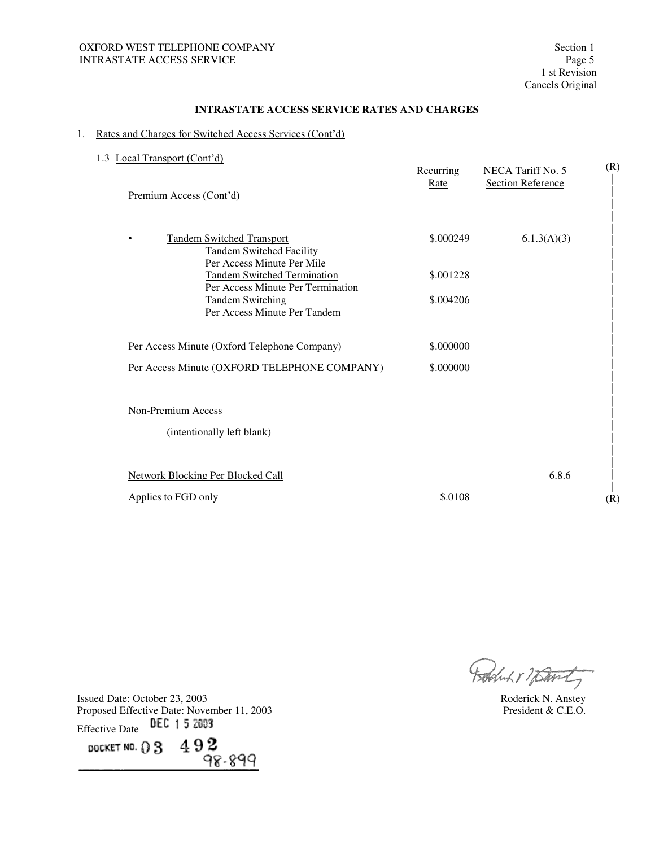#### 1. Rates and Charges for Switched Access Services (Cont'd)

| Local Transport (Cont'd)<br>1.3<br>Premium Access (Cont'd)                                                     | Recurring<br>Rate | NECA Tariff No. 5<br><b>Section Reference</b> | (R) |
|----------------------------------------------------------------------------------------------------------------|-------------------|-----------------------------------------------|-----|
| <b>Tandem Switched Transport</b><br>$\bullet$<br><b>Tandem Switched Facility</b><br>Per Access Minute Per Mile | \$.000249         | 6.1.3(A)(3)                                   |     |
| <b>Tandem Switched Termination</b><br>Per Access Minute Per Termination                                        | \$.001228         |                                               |     |
| <b>Tandem Switching</b><br>Per Access Minute Per Tandem                                                        | \$.004206         |                                               |     |
| Per Access Minute (Oxford Telephone Company)                                                                   | \$.000000         |                                               |     |
| Per Access Minute (OXFORD TELEPHONE COMPANY)                                                                   | \$.000000         |                                               |     |
| Non-Premium Access                                                                                             |                   |                                               |     |
| (intentionally left blank)                                                                                     |                   |                                               |     |
| <b>Network Blocking Per Blocked Call</b>                                                                       |                   | 6.8.6                                         |     |
| Applies to FGD only                                                                                            | \$.0108           |                                               | (R) |

Produk 17 Bank

Issued Date: October 23, 2003<br>
Proposed Effective Date: November 11, 2003<br>
President & C.E.O. Proposed Effective Date: November 11, 2003 Effective Date DEC 15 2003

DOCKET NO.  $03\quad 492$ 98-899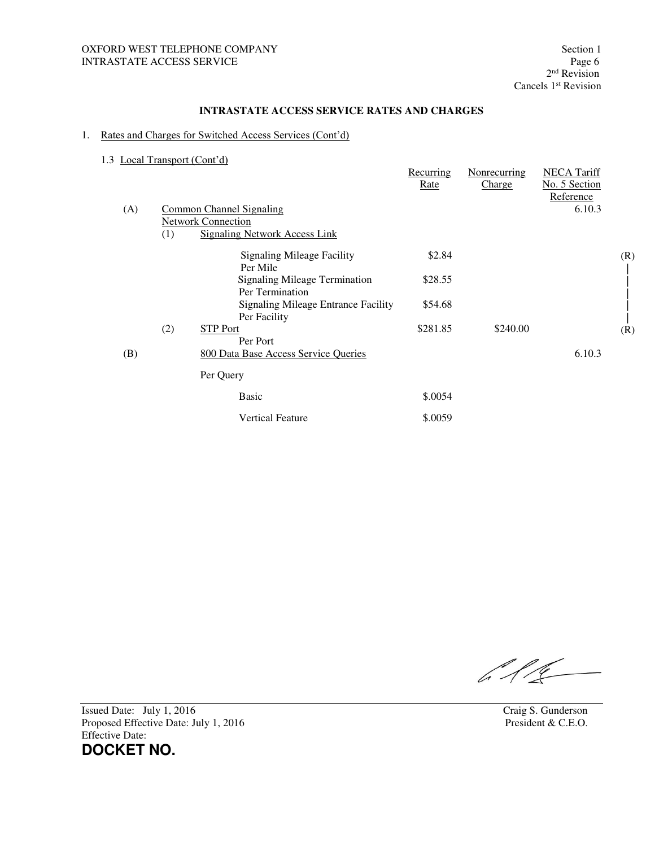## 1. Rates and Charges for Switched Access Services (Cont'd)

1.3 Local Transport (Cont'd)

|     | $\frac{1}{2}$ |                                                            | Recurring<br>Rate | Nonrecurring<br>Charge | <b>NECA Tariff</b><br>No. 5 Section<br>Reference |     |
|-----|---------------|------------------------------------------------------------|-------------------|------------------------|--------------------------------------------------|-----|
| (A) |               | <b>Common Channel Signaling</b>                            |                   |                        | 6.10.3                                           |     |
|     |               | <b>Network Connection</b>                                  |                   |                        |                                                  |     |
|     | (1)           | <b>Signaling Network Access Link</b>                       |                   |                        |                                                  |     |
|     |               | <b>Signaling Mileage Facility</b><br>Per Mile              | \$2.84            |                        |                                                  | (R) |
|     |               | <b>Signaling Mileage Termination</b><br>Per Termination    | \$28.55           |                        |                                                  |     |
|     |               | <b>Signaling Mileage Entrance Facility</b><br>Per Facility | \$54.68           |                        |                                                  |     |
|     | (2)           | <b>STP Port</b>                                            | \$281.85          | \$240.00               |                                                  | (R) |
|     |               | Per Port                                                   |                   |                        |                                                  |     |
| (B) |               | 800 Data Base Access Service Queries                       |                   |                        | 6.10.3                                           |     |
|     |               | Per Query                                                  |                   |                        |                                                  |     |
|     |               | <b>Basic</b>                                               | \$.0054           |                        |                                                  |     |
|     |               | <b>Vertical Feature</b>                                    | \$.0059           |                        |                                                  |     |

 $616 -$ 

Issued Date: July 1, 2016<br>
Proposed Effective Date: July 1, 2016<br>
Proposed Effective Date: July 1, 2016<br>
Craig S. Gunderson<br>
President & C.E.O. Proposed Effective Date: July 1, 2016 Effective Date: **DOCKET NO.**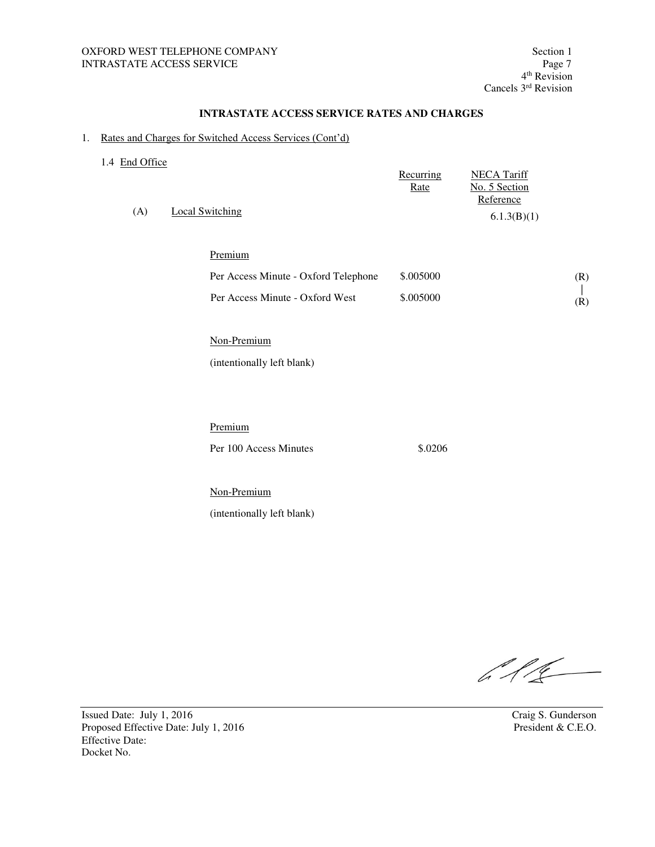#### 1. Rates and Charges for Switched Access Services (Cont'd)

| 1.4 End Office<br>(A) | Local Switching                      | Recurring<br>Rate | <b>NECA Tariff</b><br>No. 5 Section<br>Reference<br>6.1.3(B)(1) |     |
|-----------------------|--------------------------------------|-------------------|-----------------------------------------------------------------|-----|
|                       | Premium                              |                   |                                                                 |     |
|                       | Per Access Minute - Oxford Telephone | \$.005000         |                                                                 | (R) |
|                       | Per Access Minute - Oxford West      | \$.005000         |                                                                 | (R) |
|                       |                                      |                   |                                                                 |     |
|                       | Non-Premium                          |                   |                                                                 |     |

(intentionally left blank)

Premium

Per 100 Access Minutes \$.0206

 Non-Premium (intentionally left blank)

 $616 -$ 

Issued Date: July 1, 2016<br>
Proposed Effective Date: July 1, 2016<br>
Proposed Effective Date: July 1, 2016<br>
President & C.E.O. Proposed Effective Date: July 1, 2016 Effective Date: Docket No.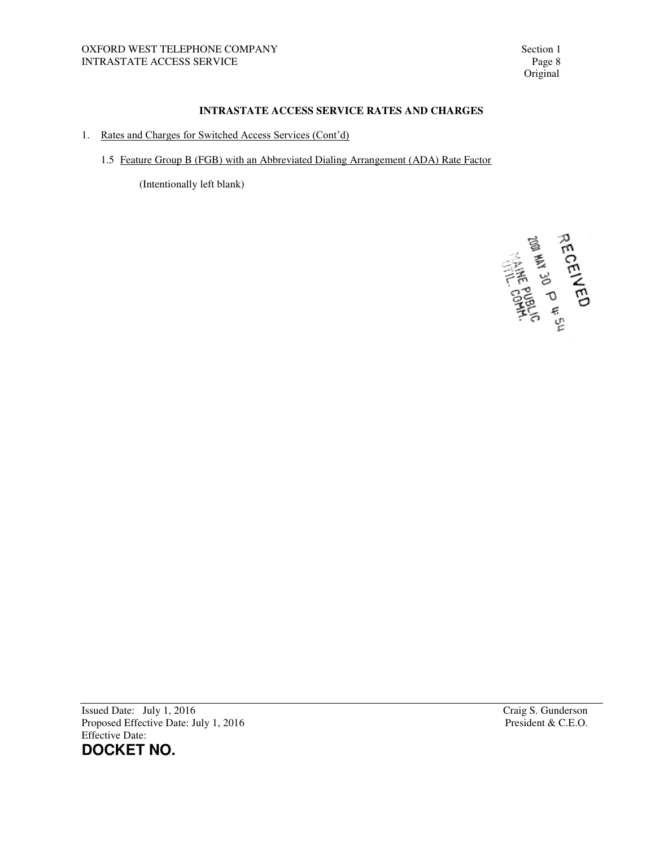- 1. Rates and Charges for Switched Access Services (Cont'd)
	- 1.5 Feature Group B (FGB) with an Abbreviated Dialing Arrangement (ADA) Rate Factor

(Intentionally left blank)

**HECENER CENTER** 

Issued Date: July 1, 2016<br>
Proposed Effective Date: July 1, 2016<br>
Proposed Effective Date: July 1, 2016<br>
Craig S. Gunderson<br>
President & C.E.O. Proposed Effective Date: July 1, 2016 Effective Date: **DOCKET NO.**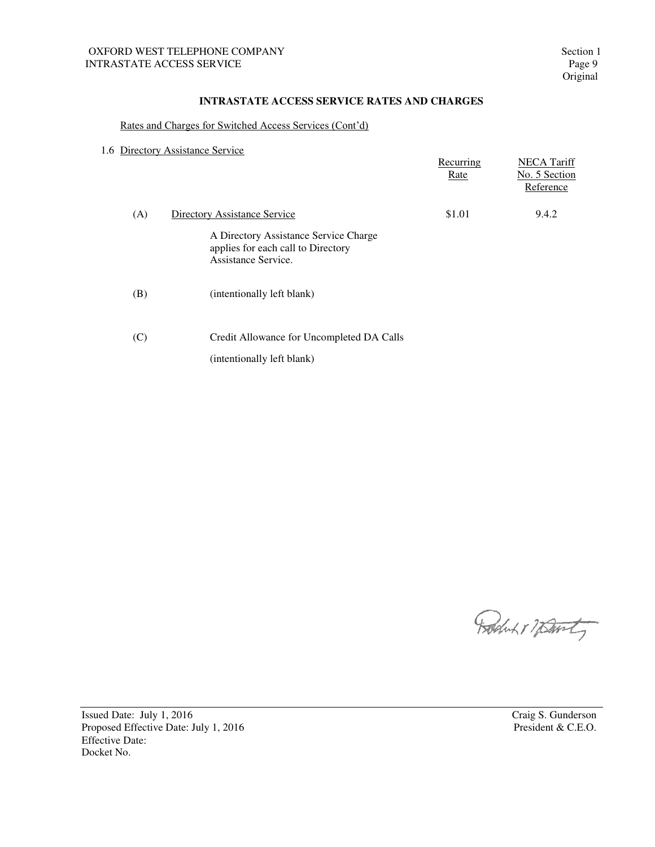## Rates and Charges for Switched Access Services (Cont'd)

|  | 1.6 Directory Assistance Service |  |
|--|----------------------------------|--|
|  |                                  |  |

|     |                                                                                                    | Recurring<br>Rate | <b>NECA Tariff</b><br>No. 5 Section<br>Reference |
|-----|----------------------------------------------------------------------------------------------------|-------------------|--------------------------------------------------|
| (A) | Directory Assistance Service                                                                       | \$1.01            | 9.4.2                                            |
|     | A Directory Assistance Service Charge<br>applies for each call to Directory<br>Assistance Service. |                   |                                                  |
| (B) | (intentionally left blank)                                                                         |                   |                                                  |
| (C) | Credit Allowance for Uncompleted DA Calls                                                          |                   |                                                  |
|     | (intentionally left blank)                                                                         |                   |                                                  |

Roches 17 Davity

Issued Date: July 1, 2016<br>
Proposed Effective Date: July 1, 2016<br>
Proposed Effective Date: July 1, 2016<br>
President & C.E.O. Proposed Effective Date: July 1, 2016 Effective Date: Docket No.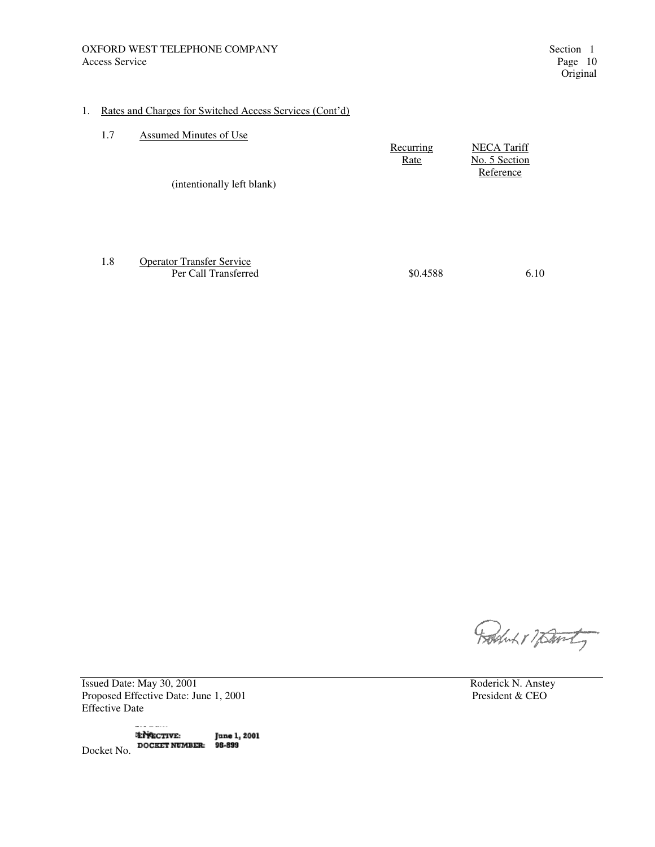#### 1. Rates and Charges for Switched Access Services (Cont'd)

| 1.7 | Assumed Minutes of Use     |           |                    |
|-----|----------------------------|-----------|--------------------|
|     |                            | Recurring | <b>NECA Tariff</b> |
|     |                            | Rate      | No. 5 Section      |
|     |                            |           | Reference          |
|     | (intentionally left blank) |           |                    |
|     |                            |           |                    |
|     |                            |           |                    |
|     |                            |           |                    |
|     |                            |           |                    |

 1.8 Operator Transfer Service Per Call Transferred  $$0.4588$  6.10

Robert 17 Davity

Issued Date: May 30, 2001 Roderick N. Anstey<br>
Proposed Effective Date: June 1, 2001 President & CEO Proposed Effective Date: June 1, 2001 Effective Date

. . . . . . . . **ENRECTIVE: June 1, 2001** Docket No. DOCKET NUMBER: 98-899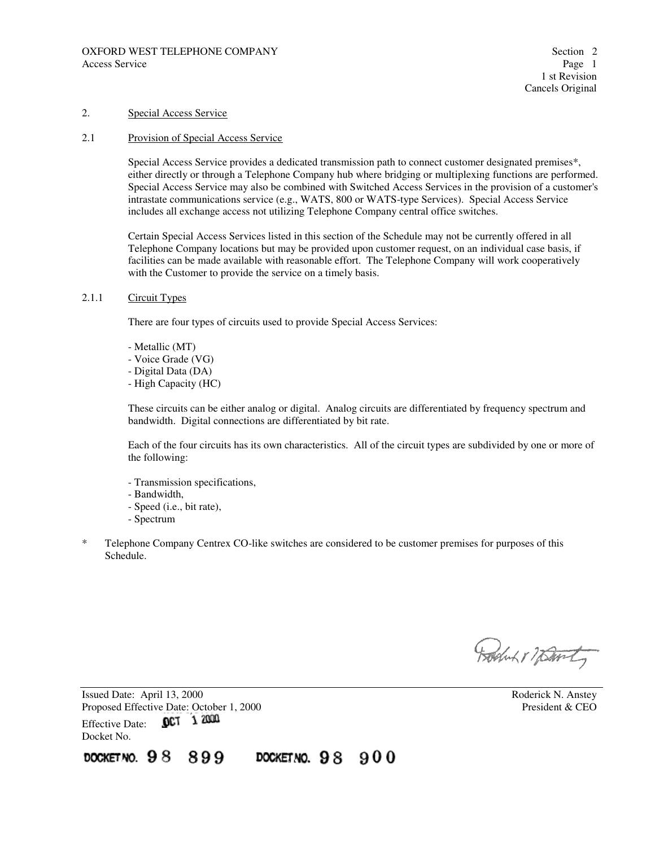#### 2. Special Access Service

## 2.1 Provision of Special Access Service

Special Access Service provides a dedicated transmission path to connect customer designated premises\*, either directly or through a Telephone Company hub where bridging or multiplexing functions are performed. Special Access Service may also be combined with Switched Access Services in the provision of a customer's intrastate communications service (e.g., WATS, 800 or WATS-type Services). Special Access Service includes all exchange access not utilizing Telephone Company central office switches.

Certain Special Access Services listed in this section of the Schedule may not be currently offered in all Telephone Company locations but may be provided upon customer request, on an individual case basis, if facilities can be made available with reasonable effort. The Telephone Company will work cooperatively with the Customer to provide the service on a timely basis.

#### 2.1.1 Circuit Types

There are four types of circuits used to provide Special Access Services:

- Metallic (MT)
- Voice Grade (VG)
- Digital Data (DA)
- High Capacity (HC)

These circuits can be either analog or digital. Analog circuits are differentiated by frequency spectrum and bandwidth. Digital connections are differentiated by bit rate.

Each of the four circuits has its own characteristics. All of the circuit types are subdivided by one or more of the following:

- Transmission specifications,
- Bandwidth,
- Speed (i.e., bit rate),
- Spectrum
- \* Telephone Company Centrex CO-like switches are considered to be customer premises for purposes of this Schedule.

Rochut 17 Davity

Issued Date: April 13, 2000 <br>
Proposed Effective Date: October 1, 2000 <br>
President & CEO President & CEO Proposed Effective Date: October 1, 2000 Effective Date: 0CT 1 2000 Docket No.

DOCKETNO. 98 899 DOCKETNO.  $98900$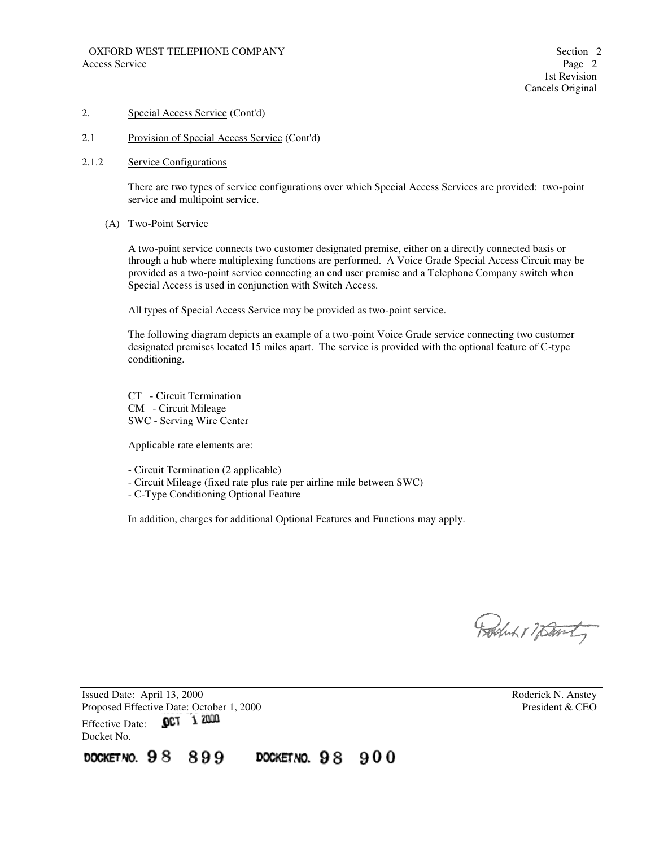## 2.1 Provision of Special Access Service (Cont'd)

#### 2.1.2 Service Configurations

There are two types of service configurations over which Special Access Services are provided: two-point service and multipoint service.

#### (A) Two-Point Service

A two-point service connects two customer designated premise, either on a directly connected basis or through a hub where multiplexing functions are performed. A Voice Grade Special Access Circuit may be provided as a two-point service connecting an end user premise and a Telephone Company switch when Special Access is used in conjunction with Switch Access.

All types of Special Access Service may be provided as two-point service.

The following diagram depicts an example of a two-point Voice Grade service connecting two customer designated premises located 15 miles apart. The service is provided with the optional feature of C-type conditioning.

 CT - Circuit Termination CM - Circuit Mileage SWC - Serving Wire Center

Applicable rate elements are:

- Circuit Termination (2 applicable)

- Circuit Mileage (fixed rate plus rate per airline mile between SWC)

- C-Type Conditioning Optional Feature

In addition, charges for additional Optional Features and Functions may apply.

Boduk & Warty

Issued Date: April 13, 2000<br>
Proposed Effective Date: October 1, 2000<br>
President & CEO Proposed Effective Date: October 1, 2000 Effective Date: 0CT 1 2000 Docket No.

DOCKET NO. 98 899 DOCKETNO. 98 900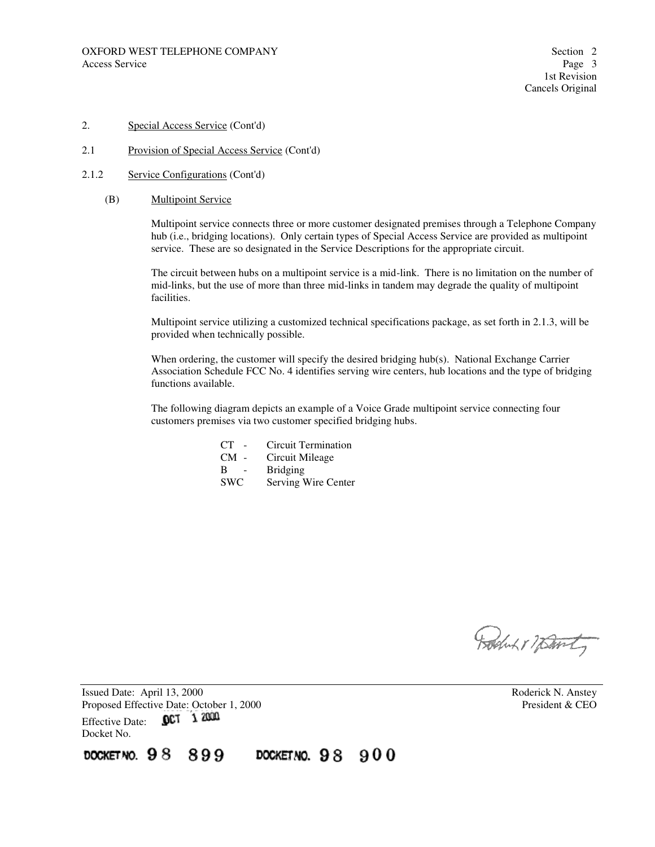2.1 Provision of Special Access Service (Cont'd)

#### 2.1.2 Service Configurations (Cont'd)

(B) Multipoint Service

Multipoint service connects three or more customer designated premises through a Telephone Company hub (i.e., bridging locations). Only certain types of Special Access Service are provided as multipoint service. These are so designated in the Service Descriptions for the appropriate circuit.

The circuit between hubs on a multipoint service is a mid-link. There is no limitation on the number of mid-links, but the use of more than three mid-links in tandem may degrade the quality of multipoint facilities.

Multipoint service utilizing a customized technical specifications package, as set forth in 2.1.3, will be provided when technically possible.

When ordering, the customer will specify the desired bridging hub(s). National Exchange Carrier Association Schedule FCC No. 4 identifies serving wire centers, hub locations and the type of bridging functions available.

The following diagram depicts an example of a Voice Grade multipoint service connecting four customers premises via two customer specified bridging hubs.

- CT Circuit Termination
- CM Circuit Mileage
- **Bridging**
- SWC Serving Wire Center

Boston 17 David

Issued Date: April 13, 2000 **Roderick N. Anstey** Proposed Effective Date: October 1, 2000 President & CEO Effective Date: 0CT 1 2000 Docket No.

DOCKET NO.  $98$ 899 DOCKET NO.  $98900$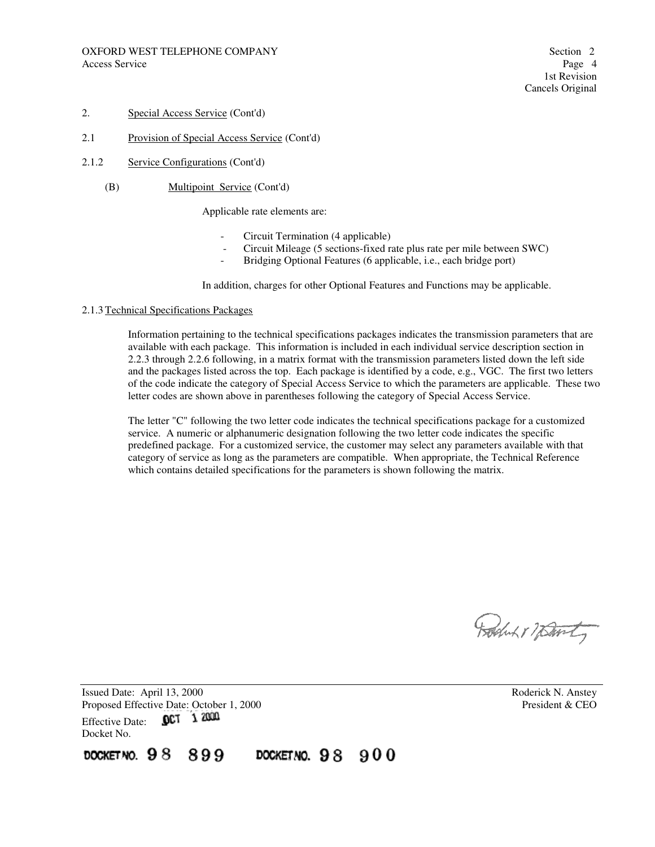- 2.1 Provision of Special Access Service (Cont'd)
- 2.1.2 Service Configurations (Cont'd)
	- (B) Multipoint Service (Cont'd)

Applicable rate elements are:

- Circuit Termination (4 applicable)
- Circuit Mileage (5 sections-fixed rate plus rate per mile between SWC)
- Bridging Optional Features (6 applicable, i.e., each bridge port)

In addition, charges for other Optional Features and Functions may be applicable.

#### 2.1.3 Technical Specifications Packages

Information pertaining to the technical specifications packages indicates the transmission parameters that are available with each package. This information is included in each individual service description section in 2.2.3 through 2.2.6 following, in a matrix format with the transmission parameters listed down the left side and the packages listed across the top. Each package is identified by a code, e.g., VGC. The first two letters of the code indicate the category of Special Access Service to which the parameters are applicable. These two letter codes are shown above in parentheses following the category of Special Access Service.

The letter "C" following the two letter code indicates the technical specifications package for a customized service. A numeric or alphanumeric designation following the two letter code indicates the specific predefined package. For a customized service, the customer may select any parameters available with that category of service as long as the parameters are compatible. When appropriate, the Technical Reference which contains detailed specifications for the parameters is shown following the matrix.

Roduk 1 7 Danty

Issued Date: April 13, 2000 **Roderick N. Anstey** Proposed Effective Date: October 1, 2000<br>Effective Date: **OCT** 1 2000 Effective Date: Docket No.

DOCKET NO.  $98$ 899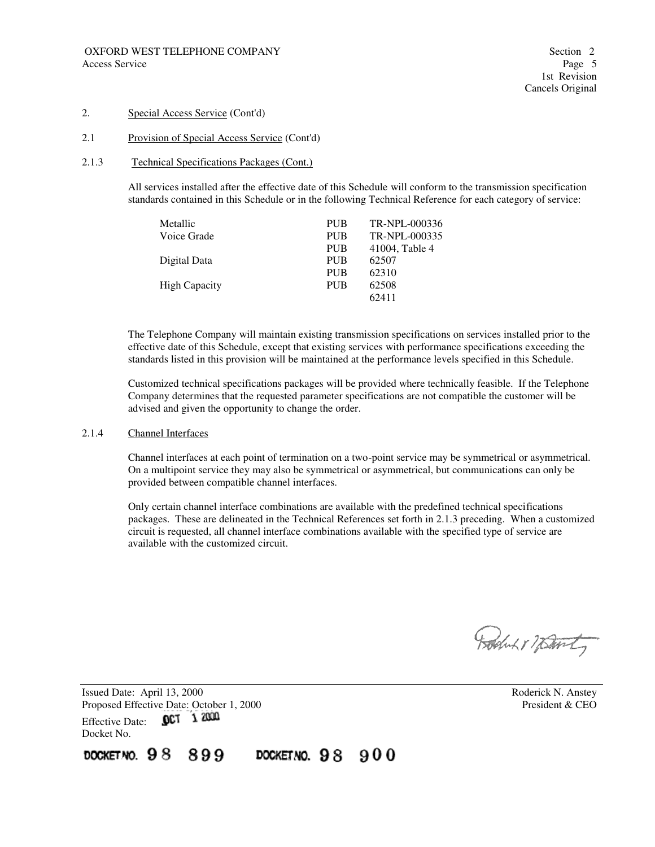#### 2.1 Provision of Special Access Service (Cont'd)

#### 2.1.3 Technical Specifications Packages (Cont.)

All services installed after the effective date of this Schedule will conform to the transmission specification standards contained in this Schedule or in the following Technical Reference for each category of service:

| Metallic             | <b>PUB</b> | TR-NPL-000336  |
|----------------------|------------|----------------|
| Voice Grade          | <b>PUB</b> | TR-NPL-000335  |
|                      | <b>PUB</b> | 41004, Table 4 |
| Digital Data         | <b>PUB</b> | 62507          |
|                      | <b>PUB</b> | 62310          |
| <b>High Capacity</b> | <b>PUB</b> | 62508          |
|                      |            | 62411          |

The Telephone Company will maintain existing transmission specifications on services installed prior to the effective date of this Schedule, except that existing services with performance specifications exceeding the standards listed in this provision will be maintained at the performance levels specified in this Schedule.

Customized technical specifications packages will be provided where technically feasible. If the Telephone Company determines that the requested parameter specifications are not compatible the customer will be advised and given the opportunity to change the order.

#### 2.1.4 Channel Interfaces

Channel interfaces at each point of termination on a two-point service may be symmetrical or asymmetrical. On a multipoint service they may also be symmetrical or asymmetrical, but communications can only be provided between compatible channel interfaces.

Only certain channel interface combinations are available with the predefined technical specifications packages. These are delineated in the Technical References set forth in 2.1.3 preceding. When a customized circuit is requested, all channel interface combinations available with the specified type of service are available with the customized circuit.

Boston 17 David

Issued Date: April 13, 2000 **Roderick N. Anstey** Proposed Effective Date: October 1, 2000<br>Effective Date: **OCT** 1 2000 Effective Date: Docket No.

DOCKET NO. 98 899 DOCKET NO.  $98900$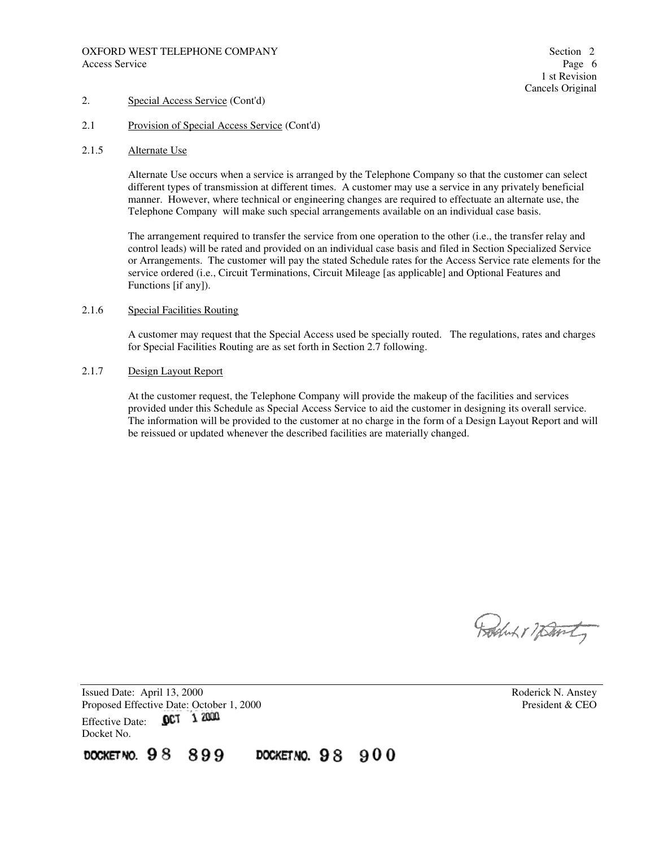- 2.1 Provision of Special Access Service (Cont'd)
- 2.1.5 Alternate Use

Alternate Use occurs when a service is arranged by the Telephone Company so that the customer can select different types of transmission at different times. A customer may use a service in any privately beneficial manner. However, where technical or engineering changes are required to effectuate an alternate use, the Telephone Company will make such special arrangements available on an individual case basis.

The arrangement required to transfer the service from one operation to the other (i.e., the transfer relay and control leads) will be rated and provided on an individual case basis and filed in Section Specialized Service or Arrangements. The customer will pay the stated Schedule rates for the Access Service rate elements for the service ordered (i.e., Circuit Terminations, Circuit Mileage [as applicable] and Optional Features and Functions [if any]).

#### 2.1.6 Special Facilities Routing

A customer may request that the Special Access used be specially routed. The regulations, rates and charges for Special Facilities Routing are as set forth in Section 2.7 following.

#### 2.1.7 Design Layout Report

At the customer request, the Telephone Company will provide the makeup of the facilities and services provided under this Schedule as Special Access Service to aid the customer in designing its overall service. The information will be provided to the customer at no charge in the form of a Design Layout Report and will be reissued or updated whenever the described facilities are materially changed.

Boluk 1 7 Davity

Issued Date: April 13, 2000 **Roderick N. Anstey** Proposed Effective Date: October 1, 2000 President & CEO Effective Date: 0CT 1 2000 Docket No.

DOCKET NO. 98 899 DOCKET NO.  $98900$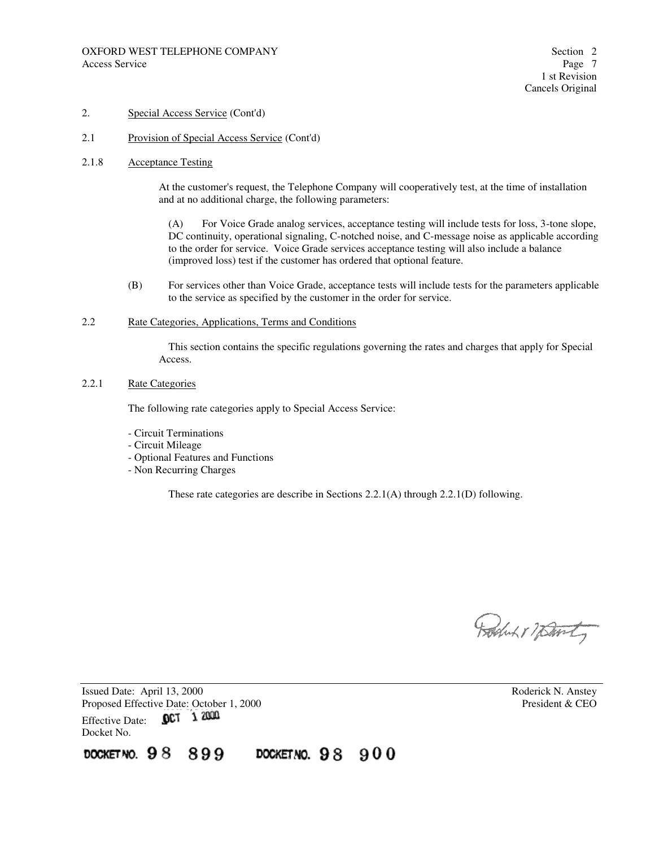2.1 Provision of Special Access Service (Cont'd)

#### 2.1.8 Acceptance Testing

At the customer's request, the Telephone Company will cooperatively test, at the time of installation and at no additional charge, the following parameters:

 (A) For Voice Grade analog services, acceptance testing will include tests for loss, 3-tone slope, DC continuity, operational signaling, C-notched noise, and C-message noise as applicable according to the order for service. Voice Grade services acceptance testing will also include a balance (improved loss) test if the customer has ordered that optional feature.

 (B) For services other than Voice Grade, acceptance tests will include tests for the parameters applicable to the service as specified by the customer in the order for service.

#### 2.2 Rate Categories, Applications, Terms and Conditions

 This section contains the specific regulations governing the rates and charges that apply for Special Access.

#### 2.2.1 Rate Categories

The following rate categories apply to Special Access Service:

- Circuit Terminations
- Circuit Mileage
- Optional Features and Functions
- Non Recurring Charges

These rate categories are describe in Sections 2.2.1(A) through 2.2.1(D) following.

Roduk 1 7 Danty

Issued Date: April 13, 2000 Roderick N. Anstey Proposed Effective Date: October 1, 2000<br>
Effective Date: **OCT** 1 2000 Effective Date: Docket No.

899 DOCKET NO.  $98$ DOCKETNO. 98 900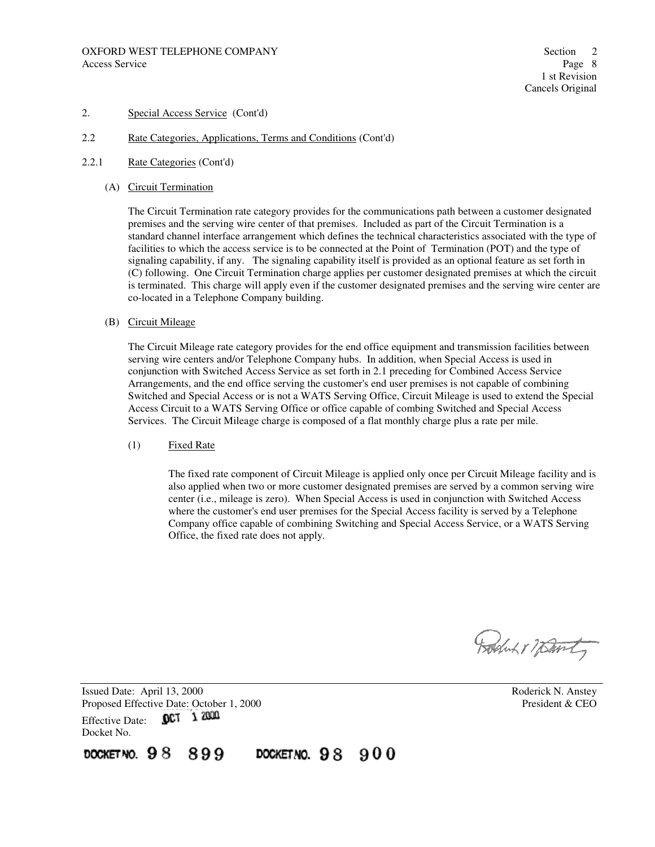- 2.2 Rate Categories, Applications, Terms and Conditions (Cont'd)
- 2.2.1 Rate Categories (Cont'd)
	- (A) Circuit Termination

The Circuit Termination rate category provides for the communications path between a customer designated premises and the serving wire center of that premises. Included as part of the Circuit Termination is a standard channel interface arrangement which defines the technical characteristics associated with the type of facilities to which the access service is to be connected at the Point of Termination (POT) and the type of signaling capability, if any. The signaling capability itself is provided as an optional feature as set forth in (C) following. One Circuit Termination charge applies per customer designated premises at which the circuit is terminated. This charge will apply even if the customer designated premises and the serving wire center are co-located in a Telephone Company building.

(B) Circuit Mileage

The Circuit Mileage rate category provides for the end office equipment and transmission facilities between serving wire centers and/or Telephone Company hubs. In addition, when Special Access is used in conjunction with Switched Access Service as set forth in 2.1 preceding for Combined Access Service Arrangements, and the end office serving the customer's end user premises is not capable of combining Switched and Special Access or is not a WATS Serving Office, Circuit Mileage is used to extend the Special Access Circuit to a WATS Serving Office or office capable of combing Switched and Special Access Services. The Circuit Mileage charge is composed of a flat monthly charge plus a rate per mile.

(1) Fixed Rate

The fixed rate component of Circuit Mileage is applied only once per Circuit Mileage facility and is also applied when two or more customer designated premises are served by a common serving wire center (i.e., mileage is zero). When Special Access is used in conjunction with Switched Access where the customer's end user premises for the Special Access facility is served by a Telephone Company office capable of combining Switching and Special Access Service, or a WATS Serving Office, the fixed rate does not apply.

Follow & Mont

Issued Date: April 13, 2000 **Roderick N. Anstey** Proposed Effective Date: October 1, 2000<br>Effective Date: **OCT** 1 2000 Effective Date: Docket No.

DOCKET NO.  $98$ 899

DOCKETNO. 98 900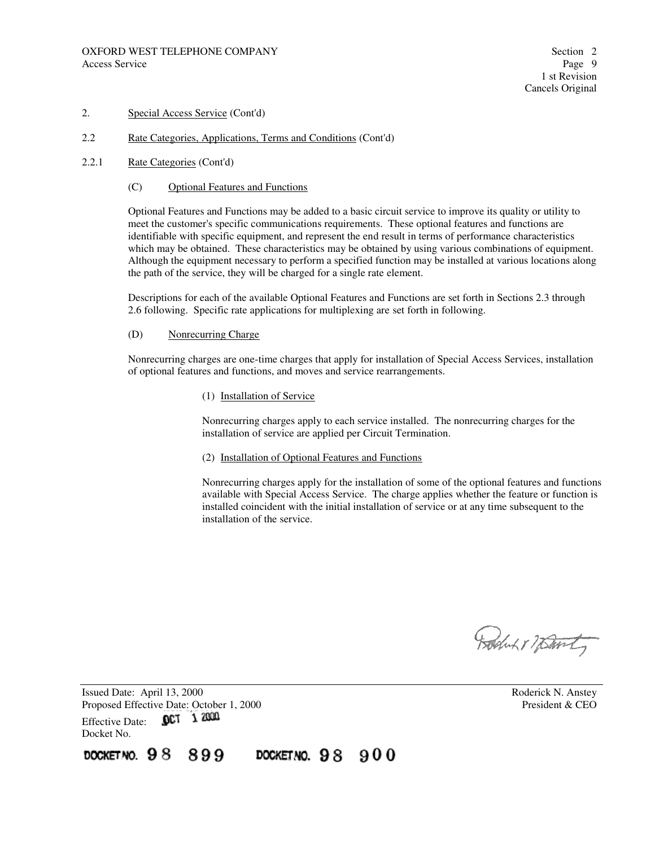#### 2.2 Rate Categories, Applications, Terms and Conditions (Cont'd)

- 2.2.1 Rate Categories (Cont'd)
	- (C) Optional Features and Functions

Optional Features and Functions may be added to a basic circuit service to improve its quality or utility to meet the customer's specific communications requirements. These optional features and functions are identifiable with specific equipment, and represent the end result in terms of performance characteristics which may be obtained. These characteristics may be obtained by using various combinations of equipment. Although the equipment necessary to perform a specified function may be installed at various locations along the path of the service, they will be charged for a single rate element.

Descriptions for each of the available Optional Features and Functions are set forth in Sections 2.3 through 2.6 following. Specific rate applications for multiplexing are set forth in following.

#### (D) Nonrecurring Charge

Nonrecurring charges are one-time charges that apply for installation of Special Access Services, installation of optional features and functions, and moves and service rearrangements.

(1) Installation of Service

Nonrecurring charges apply to each service installed. The nonrecurring charges for the installation of service are applied per Circuit Termination.

(2) Installation of Optional Features and Functions

Nonrecurring charges apply for the installation of some of the optional features and functions available with Special Access Service. The charge applies whether the feature or function is installed coincident with the initial installation of service or at any time subsequent to the installation of the service.

Boluk 1 7 Bonty

Issued Date: April 13, 2000 **Roderick N. Anstey** Proposed Effective Date: October 1, 2000<br>Effective Date: **OCT** 1 2000 Effective Date: Docket No.

DOCKET NO.  $98$ 899 DOCKET NO.  $98900$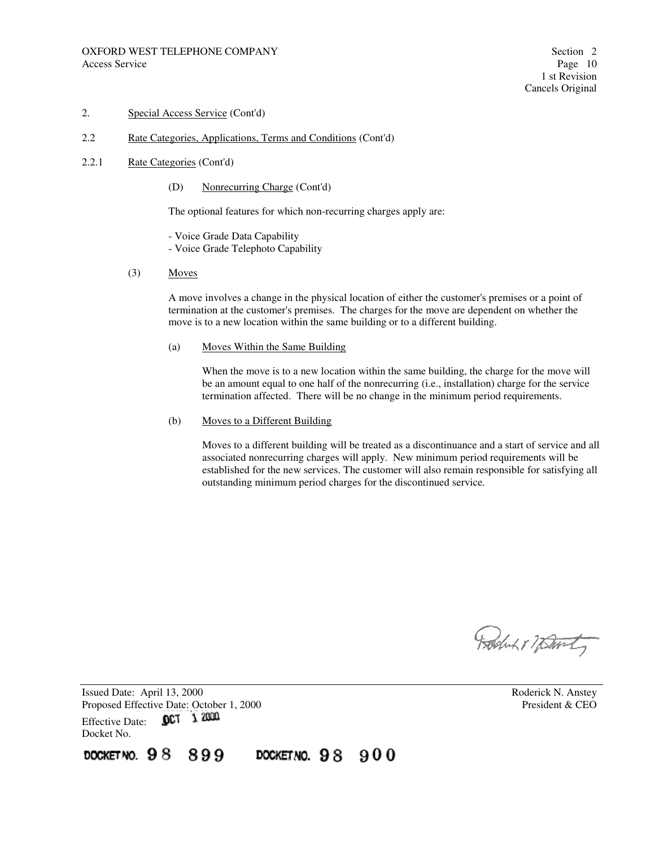#### 2.2 Rate Categories, Applications, Terms and Conditions (Cont'd)

#### 2.2.1 Rate Categories (Cont'd)

(D) Nonrecurring Charge (Cont'd)

The optional features for which non-recurring charges apply are:

- Voice Grade Data Capability
- Voice Grade Telephoto Capability
- (3) Moves

A move involves a change in the physical location of either the customer's premises or a point of termination at the customer's premises. The charges for the move are dependent on whether the move is to a new location within the same building or to a different building.

(a) Moves Within the Same Building

When the move is to a new location within the same building, the charge for the move will be an amount equal to one half of the nonrecurring (i.e., installation) charge for the service termination affected. There will be no change in the minimum period requirements.

(b) Moves to a Different Building

Moves to a different building will be treated as a discontinuance and a start of service and all associated nonrecurring charges will apply. New minimum period requirements will be established for the new services. The customer will also remain responsible for satisfying all outstanding minimum period charges for the discontinued service.

Boluk 1 7 Bonty

Issued Date: April 13, 2000 **Roderick N. Anstey** Proposed Effective Date: October 1, 2000<br>Effective Date: **OCT** 1 2000 Effective Date: Docket No.

DOCKET NO.  $98$ 899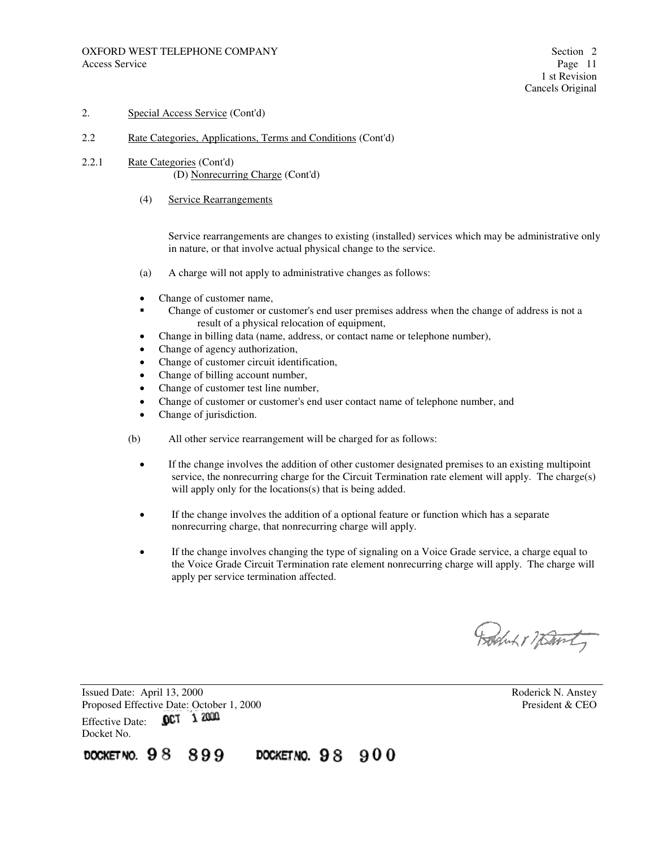#### 2.2 Rate Categories, Applications, Terms and Conditions (Cont'd)

- 2.2.1 Rate Categories (Cont'd) (D) Nonrecurring Charge (Cont'd)
	- (4) Service Rearrangements

Service rearrangements are changes to existing (installed) services which may be administrative only in nature, or that involve actual physical change to the service.

- (a) A charge will not apply to administrative changes as follows:
- Change of customer name,
- Change of customer or customer's end user premises address when the change of address is not a result of a physical relocation of equipment,
- Change in billing data (name, address, or contact name or telephone number),
- Change of agency authorization,
- Change of customer circuit identification,
- Change of billing account number,
- Change of customer test line number,
- Change of customer or customer's end user contact name of telephone number, and
- Change of jurisdiction.
- (b) All other service rearrangement will be charged for as follows:
	- If the change involves the addition of other customer designated premises to an existing multipoint service, the nonrecurring charge for the Circuit Termination rate element will apply. The charge(s) will apply only for the locations(s) that is being added.
	- If the change involves the addition of a optional feature or function which has a separate nonrecurring charge, that nonrecurring charge will apply.
	- If the change involves changing the type of signaling on a Voice Grade service, a charge equal to the Voice Grade Circuit Termination rate element nonrecurring charge will apply. The charge will apply per service termination affected.

Boluk 17 Danty

Issued Date: April 13, 2000 **Roderick N. Anstey** Proposed Effective Date: October 1, 2000 President & CEO Effective Date: 0CT 1 2000 Docket No.

DOCKETNO. 98 899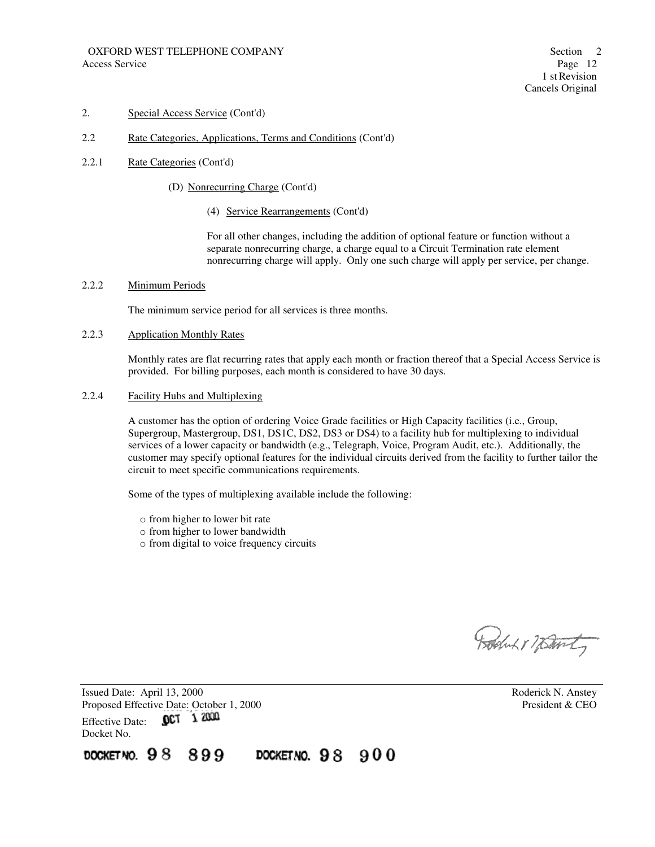#### 2.2 Rate Categories, Applications, Terms and Conditions (Cont'd)

- 2.2.1 Rate Categories (Cont'd)
	- (D) Nonrecurring Charge (Cont'd)
		- (4) Service Rearrangements (Cont'd)

For all other changes, including the addition of optional feature or function without a separate nonrecurring charge, a charge equal to a Circuit Termination rate element nonrecurring charge will apply. Only one such charge will apply per service, per change.

#### 2.2.2 Minimum Periods

The minimum service period for all services is three months.

## 2.2.3 Application Monthly Rates

Monthly rates are flat recurring rates that apply each month or fraction thereof that a Special Access Service is provided. For billing purposes, each month is considered to have 30 days.

2.2.4 Facility Hubs and Multiplexing

A customer has the option of ordering Voice Grade facilities or High Capacity facilities (i.e., Group, Supergroup, Mastergroup, DS1, DS1C, DS2, DS3 or DS4) to a facility hub for multiplexing to individual services of a lower capacity or bandwidth (e.g., Telegraph, Voice, Program Audit, etc.). Additionally, the customer may specify optional features for the individual circuits derived from the facility to further tailor the circuit to meet specific communications requirements.

Some of the types of multiplexing available include the following:

- o from higher to lower bit rate
- o from higher to lower bandwidth
- o from digital to voice frequency circuits

Boston 17 David

Issued Date: April 13, 2000 **Roderick N. Anstey** Proposed Effective Date: October 1, 2000 President & CEO 0CT 1 2000 Effective Date: Docket No.

DOCKET NO.  $98$ 899 DOCKET NO.  $98900$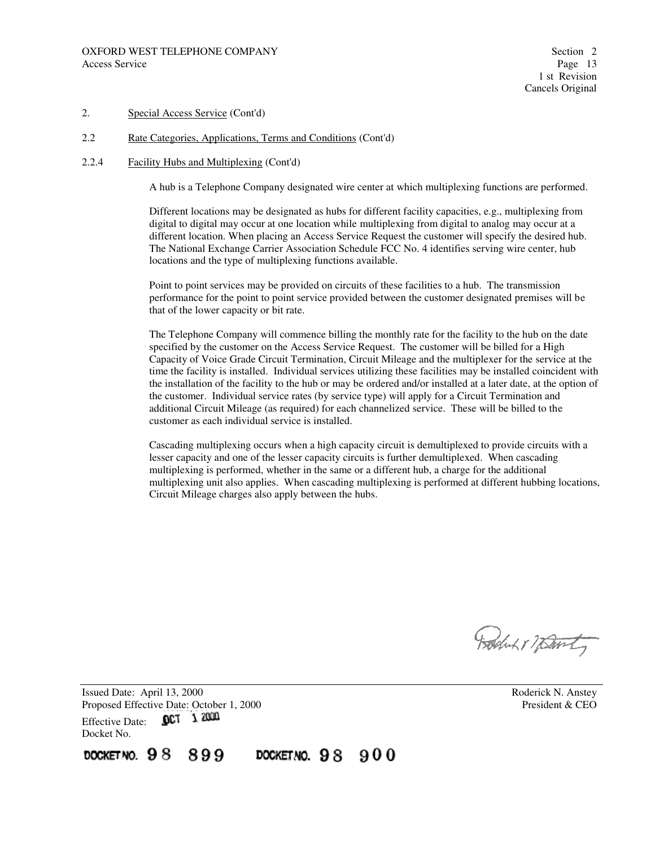#### 2.2 Rate Categories, Applications, Terms and Conditions (Cont'd)

#### 2.2.4 Facility Hubs and Multiplexing (Cont'd)

A hub is a Telephone Company designated wire center at which multiplexing functions are performed.

Different locations may be designated as hubs for different facility capacities, e.g., multiplexing from digital to digital may occur at one location while multiplexing from digital to analog may occur at a different location. When placing an Access Service Request the customer will specify the desired hub. The National Exchange Carrier Association Schedule FCC No. 4 identifies serving wire center, hub locations and the type of multiplexing functions available.

Point to point services may be provided on circuits of these facilities to a hub. The transmission performance for the point to point service provided between the customer designated premises will be that of the lower capacity or bit rate.

The Telephone Company will commence billing the monthly rate for the facility to the hub on the date specified by the customer on the Access Service Request. The customer will be billed for a High Capacity of Voice Grade Circuit Termination, Circuit Mileage and the multiplexer for the service at the time the facility is installed. Individual services utilizing these facilities may be installed coincident with the installation of the facility to the hub or may be ordered and/or installed at a later date, at the option of the customer. Individual service rates (by service type) will apply for a Circuit Termination and additional Circuit Mileage (as required) for each channelized service. These will be billed to the customer as each individual service is installed.

Cascading multiplexing occurs when a high capacity circuit is demultiplexed to provide circuits with a lesser capacity and one of the lesser capacity circuits is further demultiplexed. When cascading multiplexing is performed, whether in the same or a different hub, a charge for the additional multiplexing unit also applies. When cascading multiplexing is performed at different hubbing locations, Circuit Mileage charges also apply between the hubs.

Boston & namt

Issued Date: April 13, 2000 **Roderick N. Anstey** Proposed Effective Date: October 1, 2000<br>Effective Date: **OCT** 1 2000<br>
President & CEO Effective Date: Docket No.

DOCKETNO.  $98900$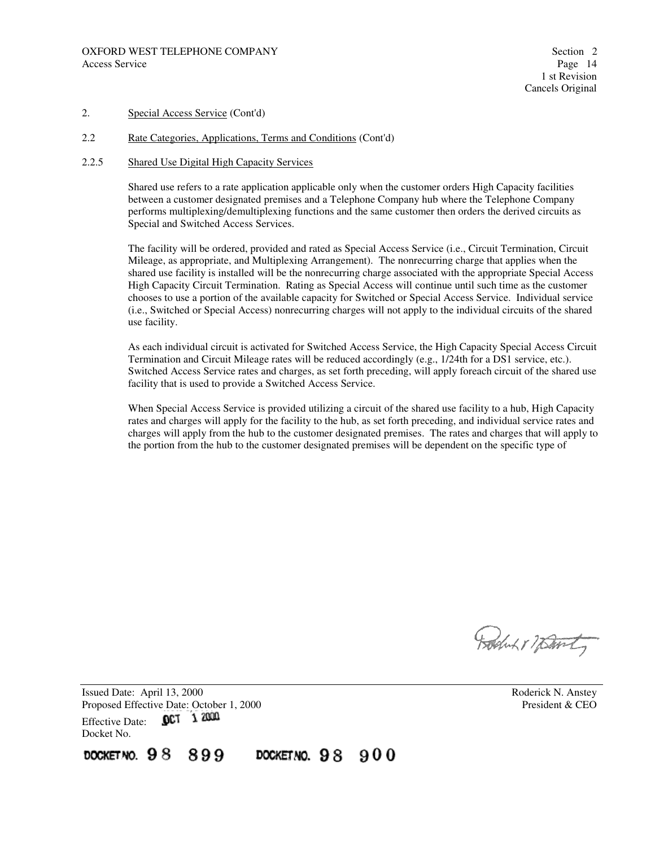#### 2.2 Rate Categories, Applications, Terms and Conditions (Cont'd)

#### 2.2.5 Shared Use Digital High Capacity Services

Shared use refers to a rate application applicable only when the customer orders High Capacity facilities between a customer designated premises and a Telephone Company hub where the Telephone Company performs multiplexing/demultiplexing functions and the same customer then orders the derived circuits as Special and Switched Access Services.

The facility will be ordered, provided and rated as Special Access Service (i.e., Circuit Termination, Circuit Mileage, as appropriate, and Multiplexing Arrangement). The nonrecurring charge that applies when the shared use facility is installed will be the nonrecurring charge associated with the appropriate Special Access High Capacity Circuit Termination. Rating as Special Access will continue until such time as the customer chooses to use a portion of the available capacity for Switched or Special Access Service. Individual service (i.e., Switched or Special Access) nonrecurring charges will not apply to the individual circuits of the shared use facility.

As each individual circuit is activated for Switched Access Service, the High Capacity Special Access Circuit Termination and Circuit Mileage rates will be reduced accordingly (e.g., 1/24th for a DS1 service, etc.). Switched Access Service rates and charges, as set forth preceding, will apply foreach circuit of the shared use facility that is used to provide a Switched Access Service.

When Special Access Service is provided utilizing a circuit of the shared use facility to a hub, High Capacity rates and charges will apply for the facility to the hub, as set forth preceding, and individual service rates and charges will apply from the hub to the customer designated premises. The rates and charges that will apply to the portion from the hub to the customer designated premises will be dependent on the specific type of

Boston 17 David

Issued Date: April 13, 2000 **Roderick N. Anstey** Proposed Effective Date: October 1, 2000<br>Effective Date: **OCT** 1 2000 Effective Date: Docket No.

DOCKET NO.  $98$ 899 DOCKETNO.  $98900$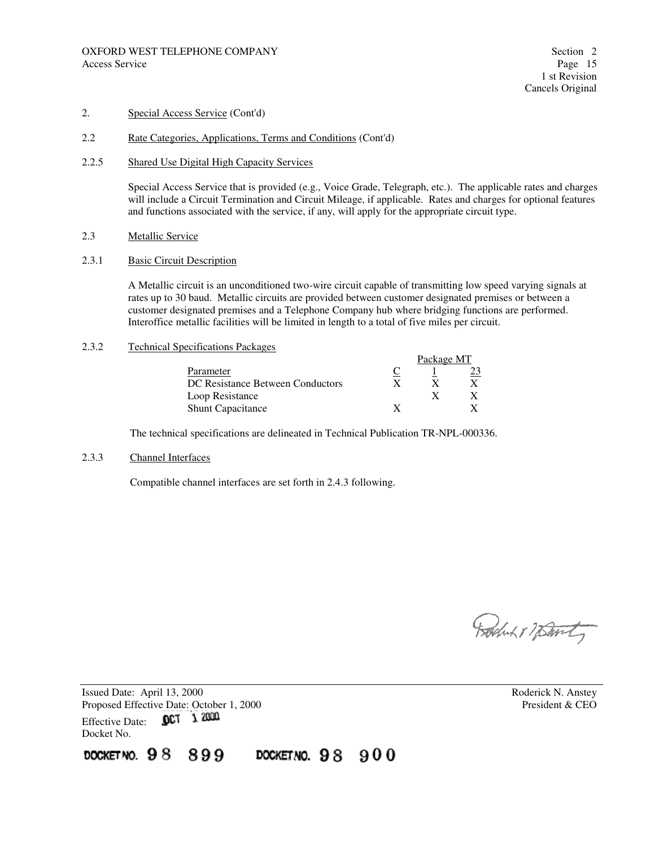#### 2.2 Rate Categories, Applications, Terms and Conditions (Cont'd)

#### 2.2.5 Shared Use Digital High Capacity Services

Special Access Service that is provided (e.g., Voice Grade, Telegraph, etc.). The applicable rates and charges will include a Circuit Termination and Circuit Mileage, if applicable. Rates and charges for optional features and functions associated with the service, if any, will apply for the appropriate circuit type.

2.3 Metallic Service

#### 2.3.1 Basic Circuit Description

A Metallic circuit is an unconditioned two-wire circuit capable of transmitting low speed varying signals at rates up to 30 baud. Metallic circuits are provided between customer designated premises or between a customer designated premises and a Telephone Company hub where bridging functions are performed. Interoffice metallic facilities will be limited in length to a total of five miles per circuit.

#### 2.3.2 Technical Specifications Packages

|                                  | Package MT |  |
|----------------------------------|------------|--|
| Parameter                        |            |  |
| DC Resistance Between Conductors |            |  |
| Loop Resistance                  |            |  |
| <b>Shunt Capacitance</b>         |            |  |

The technical specifications are delineated in Technical Publication TR-NPL-000336.

#### 2.3.3 Channel Interfaces

Compatible channel interfaces are set forth in 2.4.3 following.

Roduk & Warty

Issued Date: April 13, 2000 **Roderick N. Anstey** Proposed Effective Date: October 1, 2000 President & CEO Effective Date: 0CT 1 2000 Docket No.

DOCKET NO.  $98$ 899 DOCKET NO.  $98900$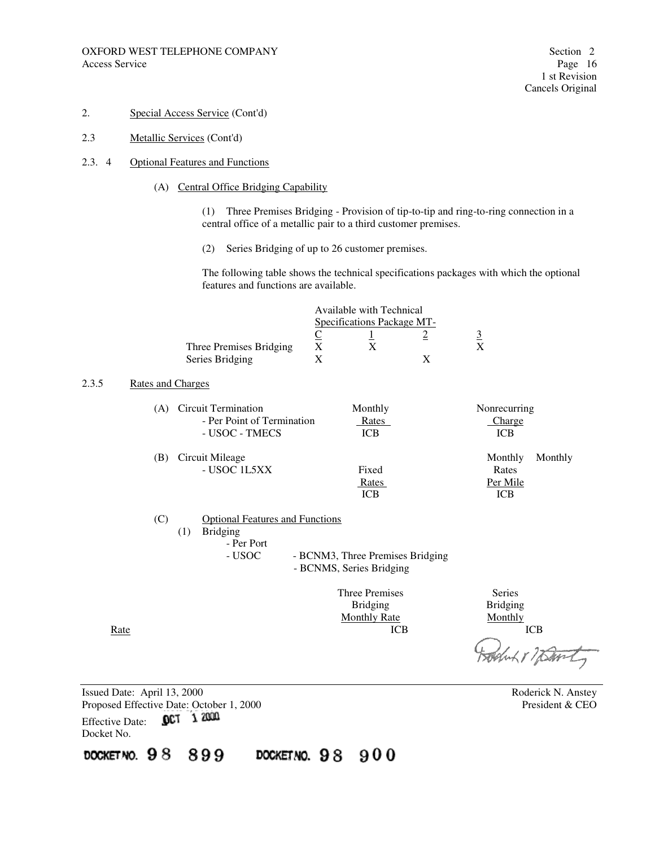- 2. Special Access Service (Cont'd)
- 2.3 Metallic Services (Cont'd)
- 2.3. 4 Optional Features and Functions
	- (A) Central Office Bridging Capability

 (1) Three Premises Bridging - Provision of tip-to-tip and ring-to-ring connection in a central office of a metallic pair to a third customer premises.

(2) Series Bridging of up to 26 customer premises.

The following table shows the technical specifications packages with which the optional features and functions are available.

|       |                          |                                        | Available with Technical                |                 |            |
|-------|--------------------------|----------------------------------------|-----------------------------------------|-----------------|------------|
|       |                          |                                        | Specifications Package MT-              |                 |            |
|       |                          |                                        |                                         | $\overline{2}$  |            |
|       |                          | Three Premises Bridging                | $\frac{C}{X}$<br>$\frac{1}{\mathbf{X}}$ | $\frac{3}{x}$   |            |
|       |                          | Series Bridging                        |                                         | X               |            |
| 2.3.5 | <b>Rates and Charges</b> |                                        |                                         |                 |            |
|       |                          | (A) Circuit Termination                | Monthly                                 | Nonrecurring    |            |
|       |                          | - Per Point of Termination             | Rates                                   | Charge          |            |
|       |                          | - USOC - TMECS                         | <b>ICB</b>                              | <b>ICB</b>      |            |
|       | (B)                      | Circuit Mileage                        |                                         | Monthly         | Monthly    |
|       |                          | - USOC 1L5XX                           | Fixed                                   | Rates           |            |
|       |                          |                                        | <b>Rates</b>                            | Per Mile        |            |
|       |                          |                                        | ICB                                     | <b>ICB</b>      |            |
|       | (C)                      | <b>Optional Features and Functions</b> |                                         |                 |            |
|       |                          | <b>Bridging</b><br>(1)                 |                                         |                 |            |
|       |                          | - Per Port                             |                                         |                 |            |
|       |                          | - USOC                                 | - BCNM3, Three Premises Bridging        |                 |            |
|       |                          |                                        | - BCNMS, Series Bridging                |                 |            |
|       |                          |                                        | <b>Three Premises</b>                   | <b>Series</b>   |            |
|       |                          |                                        | <b>Bridging</b>                         | <b>Bridging</b> |            |
|       |                          |                                        | <b>Monthly Rate</b>                     | Monthly         |            |
|       | <u>Rate</u>              |                                        | <b>ICB</b>                              |                 | <b>ICB</b> |
|       |                          |                                        |                                         |                 |            |
|       |                          |                                        |                                         |                 |            |
|       |                          |                                        |                                         |                 |            |

Issued Date: April 13, 2000 Roderick N. Anstey Proposed Effective Date: October 1, 2000 President & CEO Effective Date: 0CT 1 2000 Docket No.

DOCKET NO. 98 899 DOCKETNO. 98 900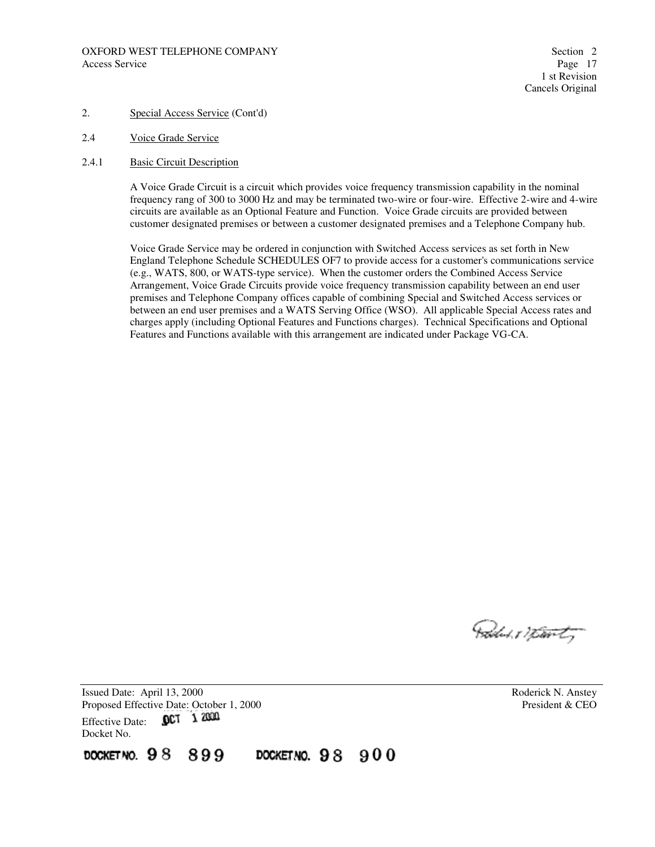#### OXFORD WEST TELEPHONE COMPANY Section 2 Access Service Page 17

1 st Revision Cancels Original

#### 2. Special Access Service (Cont'd)

- 2.4 Voice Grade Service
- 2.4.1 Basic Circuit Description

A Voice Grade Circuit is a circuit which provides voice frequency transmission capability in the nominal frequency rang of 300 to 3000 Hz and may be terminated two-wire or four-wire. Effective 2-wire and 4-wire circuits are available as an Optional Feature and Function. Voice Grade circuits are provided between customer designated premises or between a customer designated premises and a Telephone Company hub.

Voice Grade Service may be ordered in conjunction with Switched Access services as set forth in New England Telephone Schedule SCHEDULES OF7 to provide access for a customer's communications service (e.g., WATS, 800, or WATS-type service). When the customer orders the Combined Access Service Arrangement, Voice Grade Circuits provide voice frequency transmission capability between an end user premises and Telephone Company offices capable of combining Special and Switched Access services or between an end user premises and a WATS Serving Office (WSO). All applicable Special Access rates and charges apply (including Optional Features and Functions charges). Technical Specifications and Optional Features and Functions available with this arrangement are indicated under Package VG-CA.

Podus 17 tourty

Issued Date: April 13, 2000 **Roderick N. Anstey** Proposed Effective Date: October 1, 2000 President & CEO Effective Date: 0CT 1 2000 Docket No.

DOCKET NO.  $98$ 899 DOCKET NO.  $98900$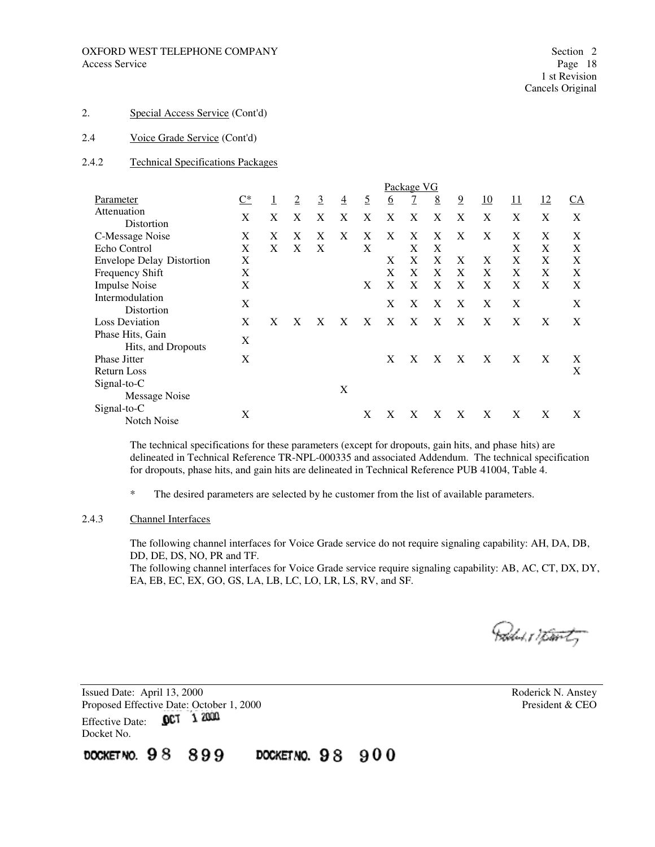#### 2.4 Voice Grade Service (Cont'd)

#### 2.4.2 Technical Specifications Packages

|                                        |                   |   |   |                |                |          |          | Package VG     |   |                |    |            |    |      |
|----------------------------------------|-------------------|---|---|----------------|----------------|----------|----------|----------------|---|----------------|----|------------|----|------|
| Parameter                              | $\underline{C^*}$ | 1 | 2 | $\overline{3}$ | $\overline{4}$ | <u>5</u> | <u>6</u> | $\overline{7}$ | 8 | $\overline{9}$ | 10 | <u> 11</u> | 12 | $CA$ |
| Attenuation<br>Distortion              | X                 | X | X | X              | X              | X        | X        | X              | X | X              | X  | X          | X  | X    |
| C-Message Noise                        | X                 | X | X | X              | X              | X        | X        | X              | X | X              | X  | X          | X  | X    |
| Echo Control                           | X                 | X | X | X              |                | X        |          | X              | X |                |    | X          | X  | X    |
| <b>Envelope Delay Distortion</b>       | X                 |   |   |                |                |          | X        | X              | X | X              | X  | X          | X  | X    |
| Frequency Shift                        | X                 |   |   |                |                |          | X        | X              | X | X              | X  | X          | X  | X    |
| <b>Impulse Noise</b>                   | X                 |   |   |                |                | X        | X        | X              | X | X              | X  | X          | X  | X    |
| Intermodulation<br>Distortion          | X                 |   |   |                |                |          | X        | Χ              | Χ | X              | X  | X          |    | X    |
| <b>Loss Deviation</b>                  | X                 | X | X | X              | X              | X        | X        | X              | X | X              | X  | X          | X  | X    |
| Phase Hits, Gain<br>Hits, and Dropouts | X                 |   |   |                |                |          |          |                |   |                |    |            |    |      |
| <b>Phase Jitter</b>                    | X                 |   |   |                |                |          | X        | X              | X | X              | X  | X          | X  | X    |
| <b>Return Loss</b>                     |                   |   |   |                |                |          |          |                |   |                |    |            |    | X    |
| Signal-to-C<br>Message Noise           |                   |   |   |                | X              |          |          |                |   |                |    |            |    |      |
| Signal-to-C<br>Notch Noise             | X                 |   |   |                |                | Х        | X        | Х              | Х | X              | X  | Χ          | X  | X    |

The technical specifications for these parameters (except for dropouts, gain hits, and phase hits) are delineated in Technical Reference TR-NPL-000335 and associated Addendum. The technical specification for dropouts, phase hits, and gain hits are delineated in Technical Reference PUB 41004, Table 4.

\* The desired parameters are selected by he customer from the list of available parameters.

#### 2.4.3 Channel Interfaces

The following channel interfaces for Voice Grade service do not require signaling capability: AH, DA, DB, DD, DE, DS, NO, PR and TF.

The following channel interfaces for Voice Grade service require signaling capability: AB, AC, CT, DX, DY, EA, EB, EC, EX, GO, GS, LA, LB, LC, LO, LR, LS, RV, and SF.

Politik 17 totor ty

Issued Date: April 13, 2000 **Roderick N. Anstey** Proposed Effective Date: October 1, 2000 President & CEO Effective Date: 0CT 1 2000 Docket No.

DOCKET NO. 98 DOCKETNO. 98 900 899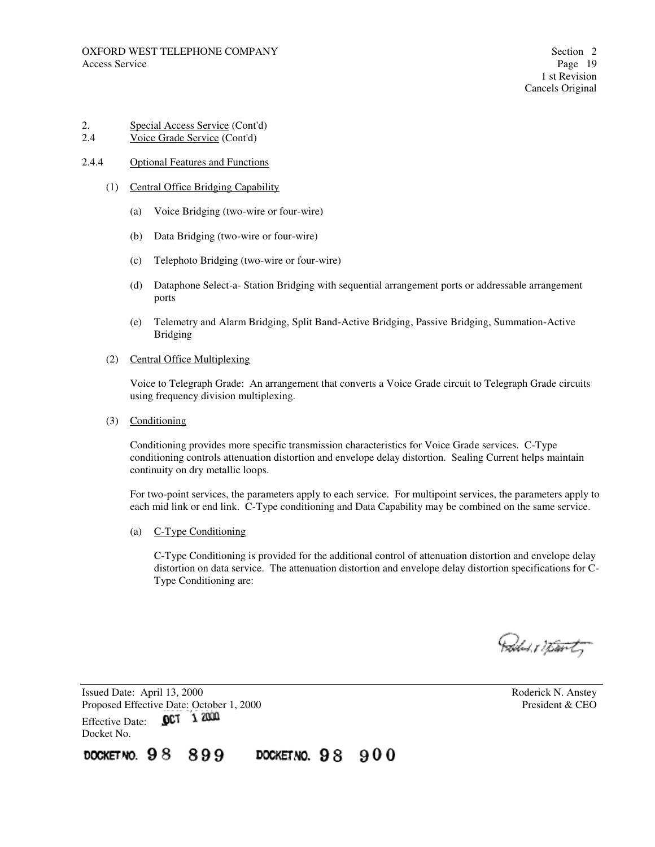# 2. Special Access Service (Cont'd)<br>2.4 Voice Grade Service (Cont'd)

Voice Grade Service (Cont'd)

#### 2.4.4 Optional Features and Functions

- (1) Central Office Bridging Capability
	- (a) Voice Bridging (two-wire or four-wire)
	- (b) Data Bridging (two-wire or four-wire)
	- (c) Telephoto Bridging (two-wire or four-wire)
	- (d) Dataphone Select-a- Station Bridging with sequential arrangement ports or addressable arrangement ports
	- (e) Telemetry and Alarm Bridging, Split Band-Active Bridging, Passive Bridging, Summation-Active Bridging
- (2) Central Office Multiplexing

Voice to Telegraph Grade: An arrangement that converts a Voice Grade circuit to Telegraph Grade circuits using frequency division multiplexing.

(3) Conditioning

Conditioning provides more specific transmission characteristics for Voice Grade services. C-Type conditioning controls attenuation distortion and envelope delay distortion. Sealing Current helps maintain continuity on dry metallic loops.

For two-point services, the parameters apply to each service. For multipoint services, the parameters apply to each mid link or end link. C-Type conditioning and Data Capability may be combined on the same service.

(a) C-Type Conditioning

C-Type Conditioning is provided for the additional control of attenuation distortion and envelope delay distortion on data service. The attenuation distortion and envelope delay distortion specifications for C-Type Conditioning are:

Pallet 17 tourty

Issued Date: April 13, 2000 **Roderick N. Anstey** Proposed Effective Date: October 1, 2000<br>Effective Date: **OCT** 1 2000 Effective Date: Docket No.

DOCKET NO.  $98$ 899 DOCKET NO.  $98900$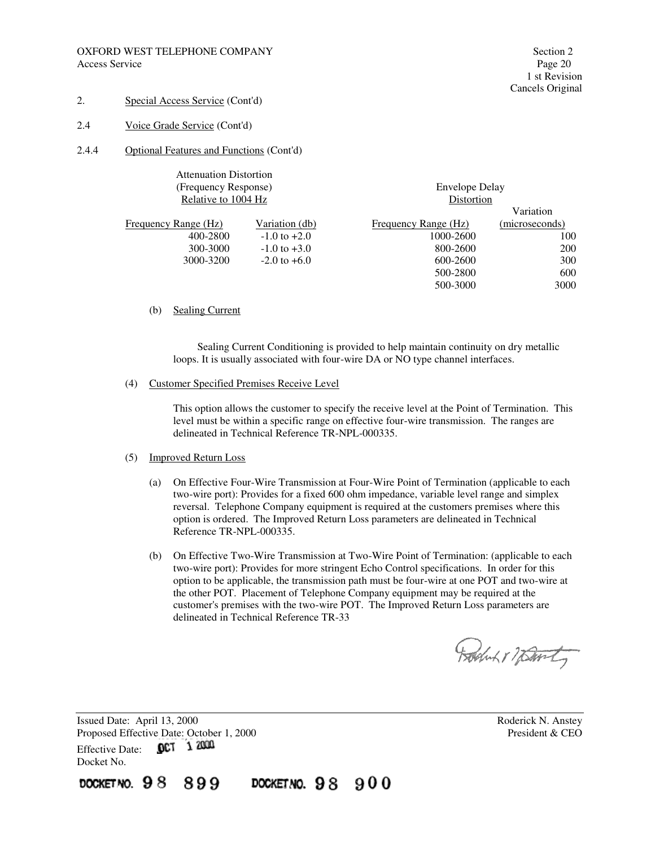- 2. Special Access Service (Cont'd)
- 2.4 Voice Grade Service (Cont'd)
- 2.4.4 Optional Features and Functions (Cont'd)

| <b>Attenuation Distortion</b> |                  |                       |                |
|-------------------------------|------------------|-----------------------|----------------|
| (Frequency Response)          |                  | <b>Envelope Delay</b> |                |
| Relative to 1004 Hz           |                  | Distortion            |                |
|                               |                  |                       | Variation      |
| Frequency Range (Hz)          | Variation (db)   | Frequency Range (Hz)  | (microseconds) |
| 400-2800                      | $-1.0$ to $+2.0$ | 1000-2600             | 100            |
| 300-3000                      | $-1.0$ to $+3.0$ | 800-2600              | 200            |
| 3000-3200                     | $-2.0$ to $+6.0$ | 600-2600              | 300            |
|                               |                  | 500-2800              | 600            |
|                               |                  | 500-3000              | 3000           |

#### (b) Sealing Current

 Sealing Current Conditioning is provided to help maintain continuity on dry metallic loops. It is usually associated with four-wire DA or NO type channel interfaces.

#### (4) Customer Specified Premises Receive Level

This option allows the customer to specify the receive level at the Point of Termination. This level must be within a specific range on effective four-wire transmission. The ranges are delineated in Technical Reference TR-NPL-000335.

#### (5) Improved Return Loss

- (a) On Effective Four-Wire Transmission at Four-Wire Point of Termination (applicable to each two-wire port): Provides for a fixed 600 ohm impedance, variable level range and simplex reversal. Telephone Company equipment is required at the customers premises where this option is ordered. The Improved Return Loss parameters are delineated in Technical Reference TR-NPL-000335.
- (b) On Effective Two-Wire Transmission at Two-Wire Point of Termination: (applicable to each two-wire port): Provides for more stringent Echo Control specifications. In order for this option to be applicable, the transmission path must be four-wire at one POT and two-wire at the other POT. Placement of Telephone Company equipment may be required at the customer's premises with the two-wire POT. The Improved Return Loss parameters are delineated in Technical Reference TR-33

Rocht 17 Davity

Issued Date: April 13, 2000 **Roderick N. Anstey** Proposed Effective Date: October 1, 2000 President & CEO Effective Date: 0CT 1 2000 Docket No.

docket.no.  $98$ 899 DOCKETNO. 98 900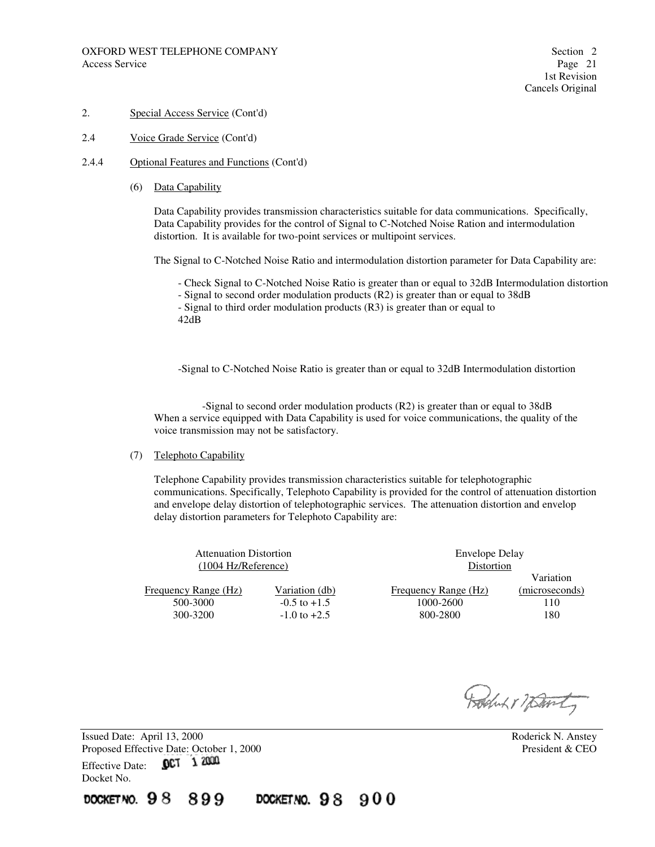2.4 Voice Grade Service (Cont'd)

#### 2.4.4 Optional Features and Functions (Cont'd)

(6) Data Capability

Data Capability provides transmission characteristics suitable for data communications. Specifically, Data Capability provides for the control of Signal to C-Notched Noise Ration and intermodulation distortion. It is available for two-point services or multipoint services.

The Signal to C-Notched Noise Ratio and intermodulation distortion parameter for Data Capability are:

- Check Signal to C-Notched Noise Ratio is greater than or equal to 32dB Intermodulation distortion

- Signal to second order modulation products (R2) is greater than or equal to 38dB

- Signal to third order modulation products (R3) is greater than or equal to 42dB

-Signal to C-Notched Noise Ratio is greater than or equal to 32dB Intermodulation distortion

 -Signal to second order modulation products (R2) is greater than or equal to 38dB When a service equipped with Data Capability is used for voice communications, the quality of the voice transmission may not be satisfactory.

#### (7) Telephoto Capability

Telephone Capability provides transmission characteristics suitable for telephotographic communications. Specifically, Telephoto Capability is provided for the control of attenuation distortion and envelope delay distortion of telephotographic services. The attenuation distortion and envelop delay distortion parameters for Telephoto Capability are:

| <b>Attenuation Distortion</b><br>$(1004 \text{ Hz/Reference})$ |                  | <b>Envelope Delay</b><br>Distortion |                |
|----------------------------------------------------------------|------------------|-------------------------------------|----------------|
|                                                                |                  |                                     | Variation      |
| <b>Frequency Range (Hz)</b>                                    | Variation (db)   | Frequency Range (Hz)                | (microseconds) |
| 500-3000                                                       | $-0.5$ to $+1.5$ | 1000-2600                           | 110            |
| 300-3200                                                       | $-1.0$ to $+2.5$ | 800-2800                            | 180            |
|                                                                |                  |                                     |                |

Roduk r 7 Davity

Issued Date: April 13, 2000 Roderick N. Anstey Proposed Effective Date: October 1, 2000 President & CEO Effective Date: 0CT 1 2000 Docket No.

DOCKET NO.  $98$ 899 DOCKETNO. 98 900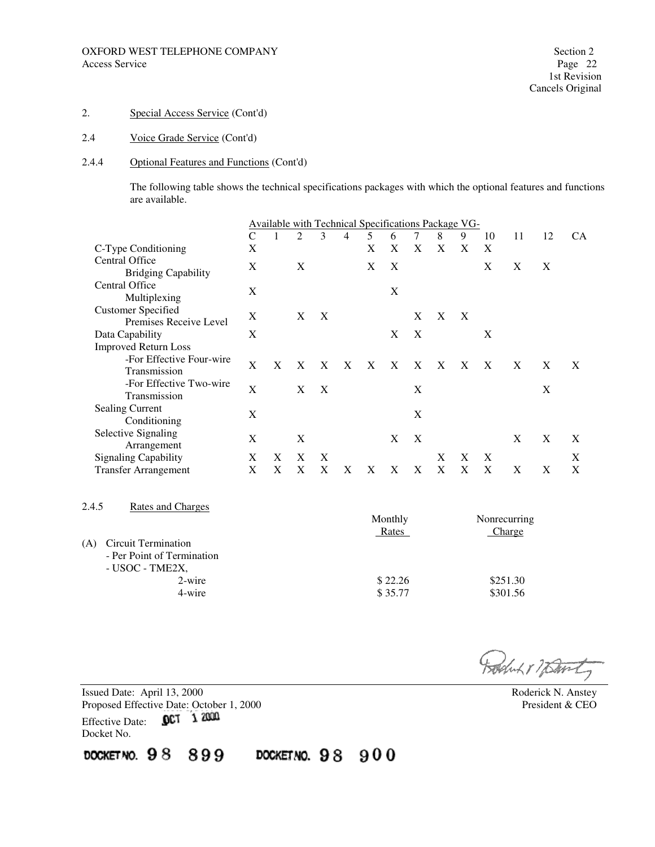## 2.4 Voice Grade Service (Cont'd)

#### 2.4.4 Optional Features and Functions (Cont'd)

The following table shows the technical specifications packages with which the optional features and functions are available.

|                                                                         |              | Available with Technical Specifications Package VG- |   |   |   |   |   |   |   |                  |    |    |    |    |
|-------------------------------------------------------------------------|--------------|-----------------------------------------------------|---|---|---|---|---|---|---|------------------|----|----|----|----|
|                                                                         | $\mathsf{C}$ | 1                                                   | 2 | 3 | 4 | 5 | 6 | 7 | 8 | 9                | 10 | 11 | 12 | CА |
| C-Type Conditioning                                                     | X            |                                                     |   |   |   | X | X | X | X | X                | X  |    |    |    |
| <b>Central Office</b><br><b>Bridging Capability</b>                     | X            |                                                     | X |   |   | X | X |   |   |                  | X  | X  | X  |    |
| <b>Central Office</b><br>Multiplexing                                   | X            |                                                     |   |   |   |   | X |   |   |                  |    |    |    |    |
| <b>Customer Specified</b><br>Premises Receive Level                     | X            |                                                     | X | X |   |   |   | X | X | $\boldsymbol{X}$ |    |    |    |    |
| Data Capability                                                         | X            |                                                     |   |   |   |   | X | X |   |                  | X  |    |    |    |
| <b>Improved Return Loss</b><br>-For Effective Four-wire<br>Transmission | X            | X                                                   | X | X | X | X | X | X | X | X                | X  | X  | X  | X  |
| -For Effective Two-wire<br>Transmission                                 | $\mathbf X$  |                                                     | X | X |   |   |   | X |   |                  |    |    | X  |    |
| <b>Sealing Current</b><br>Conditioning                                  | X            |                                                     |   |   |   |   |   | X |   |                  |    |    |    |    |
| Selective Signaling<br>Arrangement                                      | $\mathbf{X}$ |                                                     | X |   |   |   | X | X |   |                  |    | X  | X  | X  |
| <b>Signaling Capability</b>                                             | X            | X                                                   | X | Χ |   |   |   |   | X | X                | X  |    |    | X  |
| <b>Transfer Arrangement</b>                                             | X            | X                                                   | X | X | X | X | X | X | X | X                | X  | X  | X  | X  |
| Rates and Charges<br>2.4.5                                              |              |                                                     |   |   |   |   |   |   |   |                  |    |    |    |    |

|     |                            | Monthly | Nonrecurring |
|-----|----------------------------|---------|--------------|
|     |                            | Rates   | Charge       |
| (A) | Circuit Termination        |         |              |
|     | - Per Point of Termination |         |              |
|     | - USOC - TME2X,            |         |              |
|     | 2-wire                     | \$22.26 | \$251.30     |
|     | 4-wire                     | \$35.77 | \$301.56     |

Rocht 17 Danty

Issued Date: April 13, 2000 Roderick N. Anstey Proposed Effective Date: October 1, 2000 President & CEO Effective Date: **QCT** 1 2000 Docket No.

DOCKET NO. 98 899

DOCKETNO. 98 900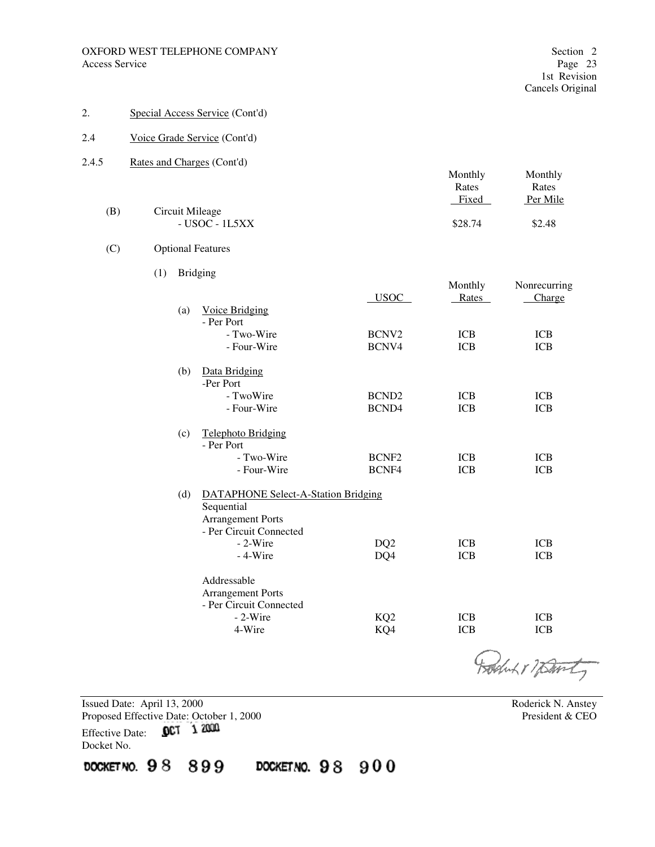- 2. Special Access Service (Cont'd)
- 2.4 Voice Grade Service (Cont'd)
- 2.4.5 Rates and Charges (Cont'd)

|     |                  | Monthly | Monthly  |
|-----|------------------|---------|----------|
|     |                  | Rates   | Rates    |
|     |                  | Fixed   | Per Mile |
| (B) | Circuit Mileage  |         |          |
|     | $-$ USOC - 1L5XX | \$28.74 | \$2.48   |

#### (C) Optional Features

(1) Bridging

|     |                                            |                   | Monthly    | Nonrecurring |
|-----|--------------------------------------------|-------------------|------------|--------------|
|     |                                            | <b>USOC</b>       | Rates      | Charge       |
| (a) | Voice Bridging                             |                   |            |              |
|     | - Per Port                                 |                   |            |              |
|     | - Two-Wire                                 | BCNV <sub>2</sub> | <b>ICB</b> | <b>ICB</b>   |
|     | - Four-Wire                                | BCNV4             | <b>ICB</b> | <b>ICB</b>   |
| (b) | Data Bridging                              |                   |            |              |
|     | -Per Port                                  |                   |            |              |
|     | - TwoWire                                  | BCND <sub>2</sub> | <b>ICB</b> | ICB          |
|     | - Four-Wire                                | BCND4             | <b>ICB</b> | <b>ICB</b>   |
| (c) | <b>Telephoto Bridging</b>                  |                   |            |              |
|     | - Per Port                                 |                   |            |              |
|     | - Two-Wire                                 | BCNF <sub>2</sub> | <b>ICB</b> | <b>ICB</b>   |
|     | - Four-Wire                                | BCNF4             | <b>ICB</b> | ICB          |
| (d) | <b>DATAPHONE Select-A-Station Bridging</b> |                   |            |              |
|     | Sequential                                 |                   |            |              |
|     | <b>Arrangement Ports</b>                   |                   |            |              |
|     | - Per Circuit Connected                    |                   |            |              |
|     | $-2-Wire$                                  | DQ <sub>2</sub>   | <b>ICB</b> | <b>ICB</b>   |
|     | $-4-Wire$                                  | DQ4               | <b>ICB</b> | <b>ICB</b>   |
|     | Addressable                                |                   |            |              |
|     | <b>Arrangement Ports</b>                   |                   |            |              |
|     | - Per Circuit Connected                    |                   |            |              |
|     | $-2-Wire$                                  | KQ <sub>2</sub>   | <b>ICB</b> | <b>ICB</b>   |
|     | 4-Wire                                     | KQ4               | ICB        | <b>ICB</b>   |
|     |                                            |                   |            |              |

Boduk & Warty

Issued Date: April 13, 2000<br>
Proposed Effective Date: October 1, 2000<br>
President & CEO<br>
President & CEO Proposed Effective Date: October 1, 2000 Effective Date: 0CT 1 2000

Docket No.

DOCKETNO. 98 899 DOCKETNO. 98 900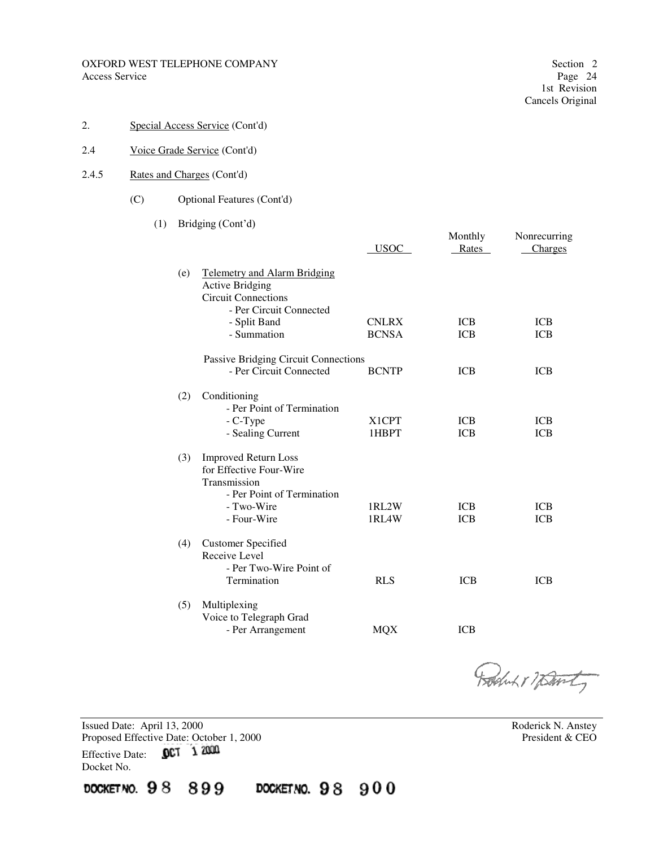#### OXFORD WEST TELEPHONE COMPANY Section 2 Access Service Page 24

Monthly Nonrecurring

2. Special Access Service (Cont'd)

#### 2.4 Voice Grade Service (Cont'd)

- 2.4.5 Rates and Charges (Cont'd)
	- (C) Optional Features (Cont'd)

## (1) Bridging (Cont'd)

|     |                                                                                                                                        | <b>USOC</b>                 | Rates                    | Charges                  |
|-----|----------------------------------------------------------------------------------------------------------------------------------------|-----------------------------|--------------------------|--------------------------|
| (e) | <b>Telemetry and Alarm Bridging</b><br><b>Active Bridging</b><br><b>Circuit Connections</b><br>- Per Circuit Connected<br>- Split Band | <b>CNLRX</b>                | <b>ICB</b>               | <b>ICB</b>               |
|     | - Summation                                                                                                                            | <b>BCNSA</b>                | <b>ICB</b>               | <b>ICB</b>               |
|     | Passive Bridging Circuit Connections                                                                                                   |                             |                          |                          |
|     | - Per Circuit Connected                                                                                                                | <b>BCNTP</b>                | <b>ICB</b>               | <b>ICB</b>               |
| (2) | Conditioning<br>- Per Point of Termination<br>- C-Type<br>- Sealing Current                                                            | X <sub>1</sub> CPT<br>1HBPT | <b>ICB</b><br><b>ICB</b> | <b>ICB</b><br><b>ICB</b> |
| (3) | <b>Improved Return Loss</b><br>for Effective Four-Wire<br>Transmission<br>- Per Point of Termination<br>- Two-Wire<br>- Four-Wire      | 1RL2W<br>1RL4W              | <b>ICB</b><br><b>ICB</b> | <b>ICB</b><br><b>ICB</b> |
| (4) | <b>Customer Specified</b><br>Receive Level<br>- Per Two-Wire Point of<br>Termination                                                   | <b>RLS</b>                  | <b>ICB</b>               | <b>ICB</b>               |
| (5) | Multiplexing<br>Voice to Telegraph Grad<br>- Per Arrangement                                                                           | <b>MQX</b>                  | ICB                      |                          |

Robert 1 7 David

Issued Date: April 13, 2000<br>
Proposed Effective Date: October 1, 2000<br>
Proposed Effective Date: October 1, 2000 Proposed Effective Date: October 1, 2000 Effective Date: 0CT 1 2000 Docket No. DOCKETNO. 98 899 DOCKETNO. 98 900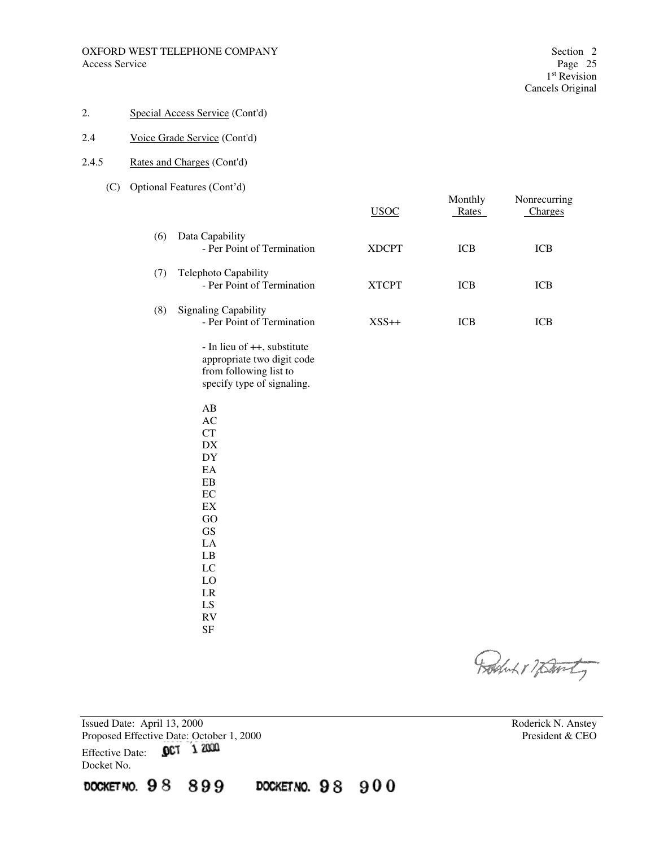#### OXFORD WEST TELEPHONE COMPANY Section 2<br>Access Service Page 25 Access Service

## 2. Special Access Service (Cont'd)

## 2.4 Voice Grade Service (Cont'd)

#### 2.4.5 Rates and Charges (Cont'd)

#### (C) Optional Features (Cont'd)

|     |                                                                                                                   | <b>USOC</b>  | Monthly<br>Rates | Nonrecurring<br>Charges |
|-----|-------------------------------------------------------------------------------------------------------------------|--------------|------------------|-------------------------|
| (6) | Data Capability<br>- Per Point of Termination                                                                     | <b>XDCPT</b> | <b>ICB</b>       | <b>ICB</b>              |
| (7) | Telephoto Capability<br>- Per Point of Termination                                                                | <b>XTCPT</b> | ICB              | <b>ICB</b>              |
| (8) | <b>Signaling Capability</b><br>- Per Point of Termination                                                         | $XSS++$      | ICB              | <b>ICB</b>              |
|     | - In lieu of ++, substitute<br>appropriate two digit code<br>from following list to<br>specify type of signaling. |              |                  |                         |
|     | $\mathbf{A}\mathbf{B}$<br>$\mathbf{A}\mathbf{C}$<br>CT                                                            |              |                  |                         |
|     | DX<br>DY<br>EA                                                                                                    |              |                  |                         |
|     | ${\rm EB}$<br>EC<br>$\mathop{\rm EX}\nolimits$                                                                    |              |                  |                         |
|     | GO<br><b>GS</b><br>LA                                                                                             |              |                  |                         |
|     | $\mathbf{L}\mathbf{B}$<br>LC<br>LO                                                                                |              |                  |                         |
|     | $\rm LR$<br>LS<br>${\rm RV}$                                                                                      |              |                  |                         |
|     | $\rm{SF}$                                                                                                         |              |                  |                         |

Boduk & Wart

Issued Date: April 13, 2000<br>
Proposed Effective Date: October 1, 2000<br>
President & CEO<br>
President & CEO Proposed Effective Date: October 1, 2000<br>Effective Date: **OCT** 1 2000 Effective Date: Docket No.

DOCKETNO. 98 899 DOCKETNO. 98 900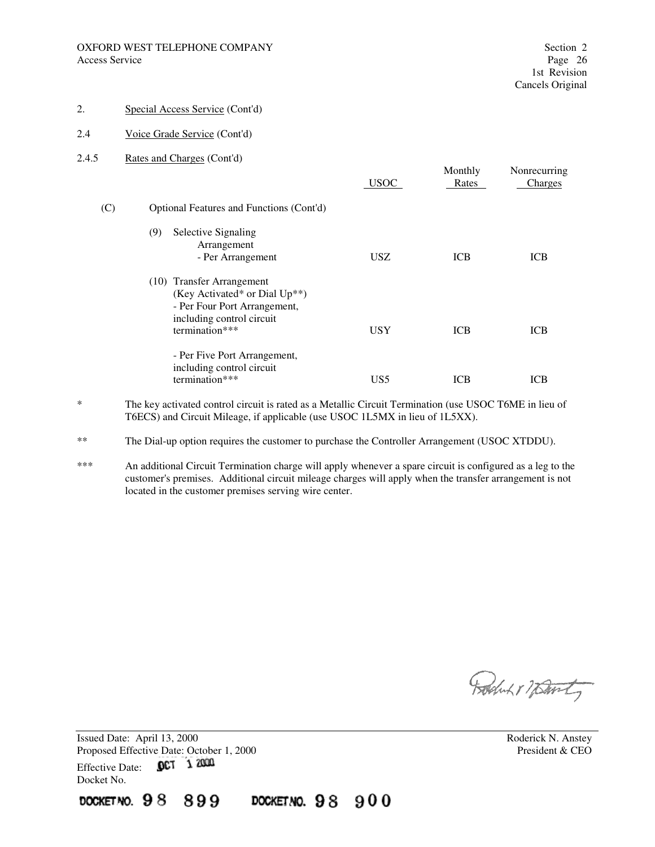- 2. Special Access Service (Cont'd)
- 2.4 Voice Grade Service (Cont'd)
- 2.4.5 Rates and Charges (Cont'd)

|     |                                                                                                                                           | <b>USOC</b>     | Monthly<br>Rates | Nonrecurring<br>Charges |
|-----|-------------------------------------------------------------------------------------------------------------------------------------------|-----------------|------------------|-------------------------|
| (C) | Optional Features and Functions (Cont'd)                                                                                                  |                 |                  |                         |
|     | (9)<br>Selective Signaling<br>Arrangement<br>- Per Arrangement                                                                            | <b>USZ</b>      | <b>ICB</b>       | <b>ICB</b>              |
|     | (10) Transfer Arrangement<br>(Key Activated* or Dial Up**)<br>- Per Four Port Arrangement,<br>including control circuit<br>termination*** | <b>USY</b>      | <b>ICB</b>       | <b>ICB</b>              |
|     | - Per Five Port Arrangement,<br>including control circuit<br>termination***                                                               | US <sub>5</sub> | <b>ICB</b>       | <b>ICB</b>              |

\* The key activated control circuit is rated as a Metallic Circuit Termination (use USOC T6ME in lieu of T6ECS) and Circuit Mileage, if applicable (use USOC 1L5MX in lieu of 1L5XX).

- \*\* The Dial-up option requires the customer to purchase the Controller Arrangement (USOC XTDDU).
- \*\*\* An additional Circuit Termination charge will apply whenever a spare circuit is configured as a leg to the customer's premises. Additional circuit mileage charges will apply when the transfer arrangement is not located in the customer premises serving wire center.

DOCKETNO. 98 900

Boduk & Warty

Issued Date: April 13, 2000 **Roderick N. Anstey** Proposed Effective Date: October 1, 2000 President & CEO Effective Date: 0CT 1 2000 Docket No. DOCKET NO. 98

899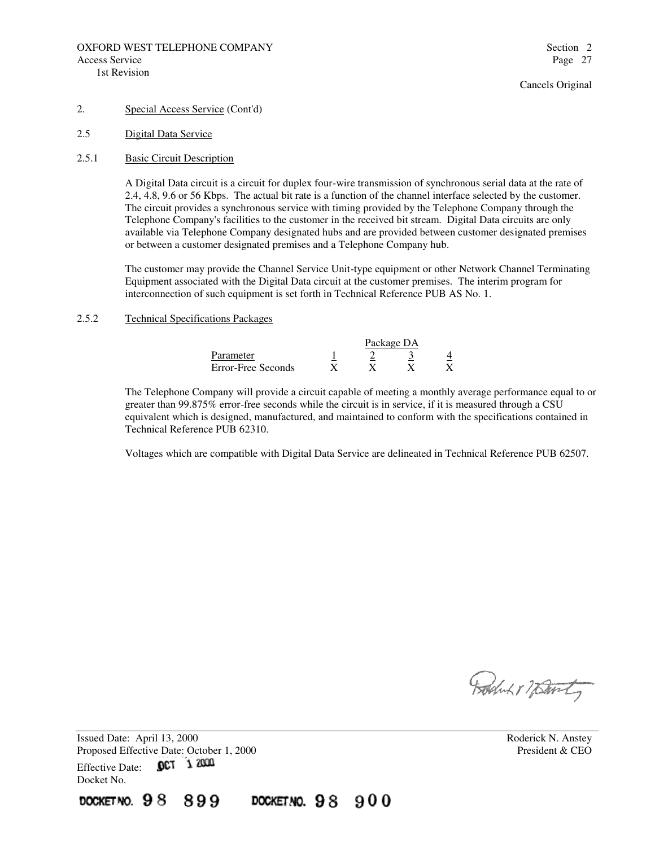- 2. Special Access Service (Cont'd)
- 2.5 Digital Data Service
- 2.5.1 Basic Circuit Description

A Digital Data circuit is a circuit for duplex four-wire transmission of synchronous serial data at the rate of 2.4, 4.8, 9.6 or 56 Kbps. The actual bit rate is a function of the channel interface selected by the customer. The circuit provides a synchronous service with timing provided by the Telephone Company through the Telephone Company's facilities to the customer in the received bit stream. Digital Data circuits are only available via Telephone Company designated hubs and are provided between customer designated premises or between a customer designated premises and a Telephone Company hub.

The customer may provide the Channel Service Unit-type equipment or other Network Channel Terminating Equipment associated with the Digital Data circuit at the customer premises. The interim program for interconnection of such equipment is set forth in Technical Reference PUB AS No. 1.

## 2.5.2 Technical Specifications Packages

|                    | Package DA |  |  |  |  |  |
|--------------------|------------|--|--|--|--|--|
| Parameter          |            |  |  |  |  |  |
| Error-Free Seconds |            |  |  |  |  |  |

DOCKETNO.  $98900$ 

The Telephone Company will provide a circuit capable of meeting a monthly average performance equal to or greater than 99.875% error-free seconds while the circuit is in service, if it is measured through a CSU equivalent which is designed, manufactured, and maintained to conform with the specifications contained in Technical Reference PUB 62310.

Voltages which are compatible with Digital Data Service are delineated in Technical Reference PUB 62507.

Robert 17 Danty

Issued Date: April 13, 2000 **Roderick N. Anstey** Proposed Effective Date: October 1, 2000 President & CEO Effective Date: 0CT 1 2000 Docket No.

899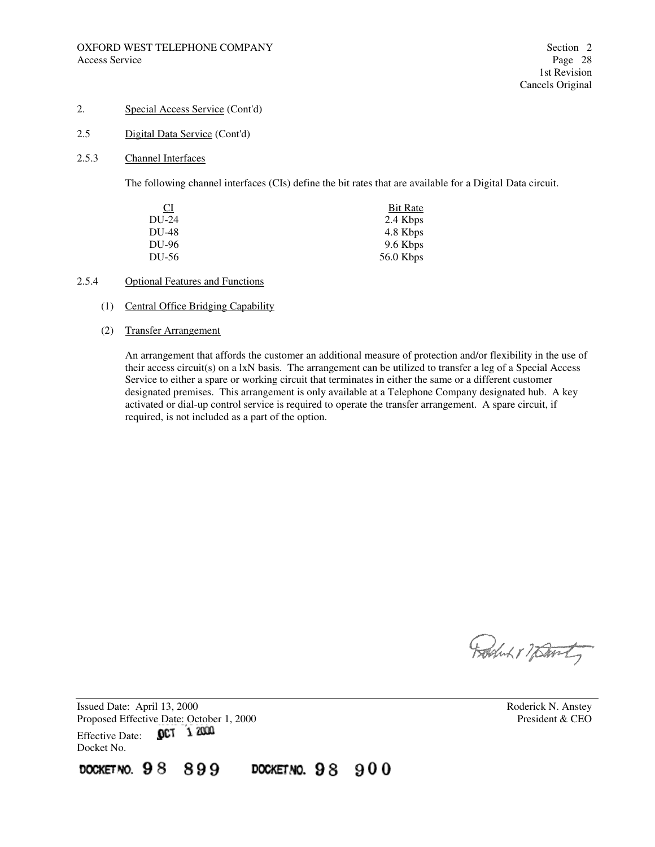- 2. Special Access Service (Cont'd)
- 2.5 Digital Data Service (Cont'd)
- 2.5.3 Channel Interfaces

The following channel interfaces (CIs) define the bit rates that are available for a Digital Data circuit.

| $\overline{C}$ | Bit Rate    |
|----------------|-------------|
| $DU-24$        | 2.4 Kbps    |
| DU-48          | 4.8 Kbps    |
| DU-96          | 9.6 Kbps    |
| DU-56          | $56.0$ Kbps |

#### 2.5.4 Optional Features and Functions

- (1) Central Office Bridging Capability
- (2) Transfer Arrangement

An arrangement that affords the customer an additional measure of protection and/or flexibility in the use of their access circuit(s) on a lxN basis. The arrangement can be utilized to transfer a leg of a Special Access Service to either a spare or working circuit that terminates in either the same or a different customer designated premises. This arrangement is only available at a Telephone Company designated hub. A key activated or dial-up control service is required to operate the transfer arrangement. A spare circuit, if required, is not included as a part of the option.

DOCKETNO. 98 900

Produkt 7 party

Issued Date: April 13, 2000<br>
Proposed Effective Date: October 1, 2000<br>
President & CEO Proposed Effective Date: October 1, 2000 OCT 1 2000 Effective Date: Docket No.

899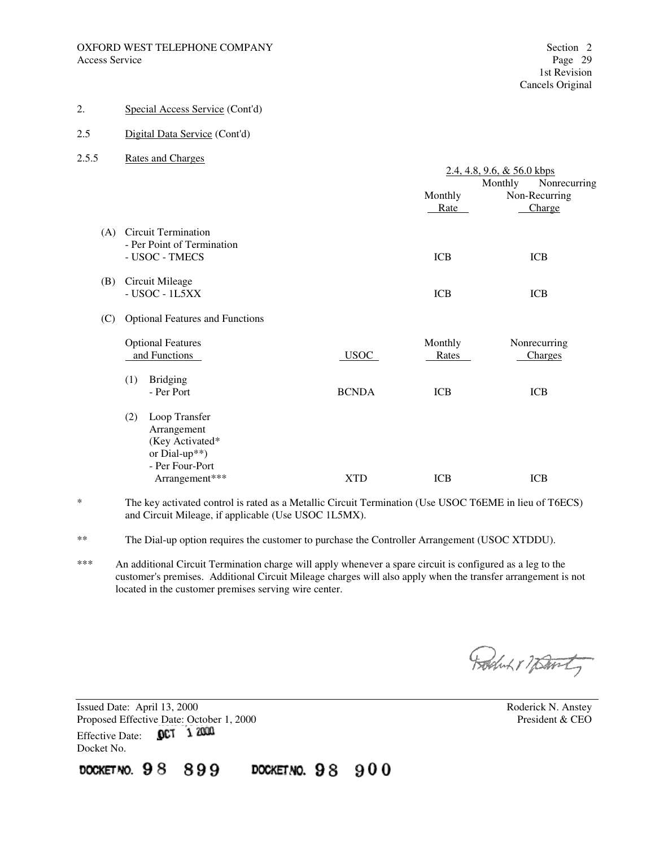- 2. Special Access Service (Cont'd)
- 2.5 Digital Data Service (Cont'd)
- 2.5.5 Rates and Charges

|     |                                        |              | $2.4, 4.8, 9.6, \& 56.0$ kbps |                         |  |
|-----|----------------------------------------|--------------|-------------------------------|-------------------------|--|
|     |                                        |              |                               | Monthly<br>Nonrecurring |  |
|     |                                        |              | Monthly                       | Non-Recurring           |  |
|     |                                        |              | Rate                          | Charge                  |  |
|     |                                        |              |                               |                         |  |
| (A) | <b>Circuit Termination</b>             |              |                               |                         |  |
|     | - Per Point of Termination             |              |                               |                         |  |
|     | - USOC - TMECS                         |              | <b>ICB</b>                    | <b>ICB</b>              |  |
|     |                                        |              |                               |                         |  |
| (B) | Circuit Mileage                        |              |                               |                         |  |
|     | $-$ USOC $-$ 1L5XX                     |              | <b>ICB</b>                    | <b>ICB</b>              |  |
|     |                                        |              |                               |                         |  |
| (C) | <b>Optional Features and Functions</b> |              |                               |                         |  |
|     |                                        |              |                               |                         |  |
|     | <b>Optional Features</b>               |              | Monthly                       | Nonrecurring            |  |
|     | and Functions                          | <b>USOC</b>  | Rates                         | Charges                 |  |
|     |                                        |              |                               |                         |  |
|     | <b>Bridging</b><br>(1)                 |              |                               |                         |  |
|     | - Per Port                             | <b>BCNDA</b> | <b>ICB</b>                    | <b>ICB</b>              |  |
|     |                                        |              |                               |                         |  |
|     | Loop Transfer<br>(2)                   |              |                               |                         |  |
|     | Arrangement                            |              |                               |                         |  |
|     | (Key Activated*                        |              |                               |                         |  |
|     | or Dial-up**)                          |              |                               |                         |  |
|     | - Per Four-Port                        |              |                               |                         |  |
|     | Arrangement***                         | <b>XTD</b>   | <b>ICB</b>                    | <b>ICB</b>              |  |
|     |                                        |              |                               |                         |  |

- \* The key activated control is rated as a Metallic Circuit Termination (Use USOC T6EME in lieu of T6ECS) and Circuit Mileage, if applicable (Use USOC 1L5MX).
- \*\* The Dial-up option requires the customer to purchase the Controller Arrangement (USOC XTDDU).

DOCKETNO. 98 900

\*\*\* An additional Circuit Termination charge will apply whenever a spare circuit is configured as a leg to the customer's premises. Additional Circuit Mileage charges will also apply when the transfer arrangement is not located in the customer premises serving wire center.

Boluk 1 7 Davity

Issued Date: April 13, 2000<br>
Proposed Effective Date: October 1, 2000<br>
President & CEO Proposed Effective Date: October 1, 2000<br>Effective Date: **OCT** 1 2000 Effective Date: Docket No.

899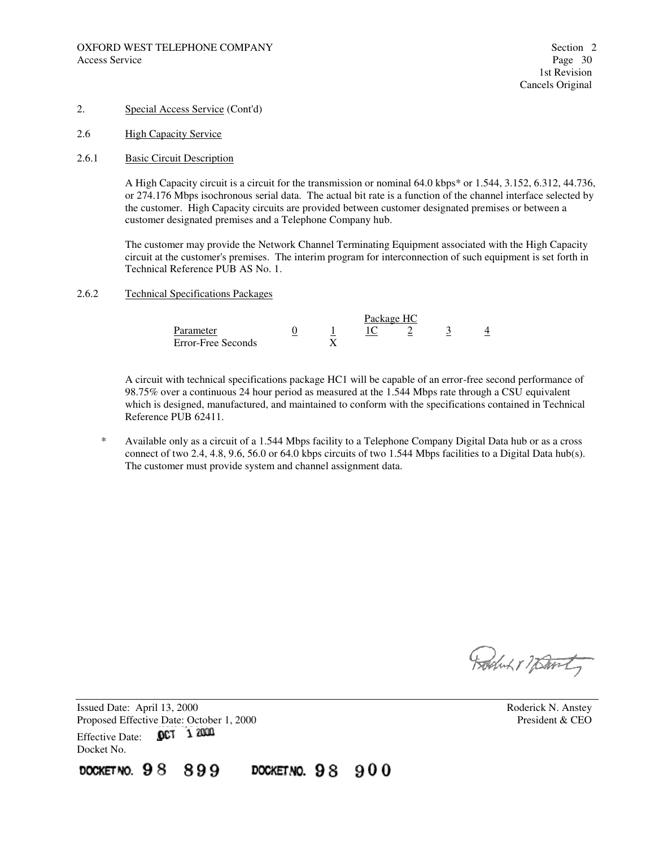- 2. Special Access Service (Cont'd)
- 2.6 High Capacity Service
- 2.6.1 Basic Circuit Description

A High Capacity circuit is a circuit for the transmission or nominal 64.0 kbps\* or 1.544, 3.152, 6.312, 44.736, or 274.176 Mbps isochronous serial data. The actual bit rate is a function of the channel interface selected by the customer. High Capacity circuits are provided between customer designated premises or between a customer designated premises and a Telephone Company hub.

The customer may provide the Network Channel Terminating Equipment associated with the High Capacity circuit at the customer's premises. The interim program for interconnection of such equipment is set forth in Technical Reference PUB AS No. 1.

2.6.2 Technical Specifications Packages

|                    | Package HC |  |  |  |   |  |
|--------------------|------------|--|--|--|---|--|
| Parameter          |            |  |  |  | ັ |  |
| Error-Free Seconds |            |  |  |  |   |  |

A circuit with technical specifications package HC1 will be capable of an error-free second performance of 98.75% over a continuous 24 hour period as measured at the 1.544 Mbps rate through a CSU equivalent which is designed, manufactured, and maintained to conform with the specifications contained in Technical Reference PUB 62411.

 \* Available only as a circuit of a 1.544 Mbps facility to a Telephone Company Digital Data hub or as a cross connect of two 2.4, 4.8, 9.6, 56.0 or 64.0 kbps circuits of two 1.544 Mbps facilities to a Digital Data hub(s). The customer must provide system and channel assignment data.

DOCKETNO.  $98900$ 

Rochut 17 Danty

Issued Date: April 13, 2000 Roderick N. Anstey Proposed Effective Date: October 1, 2000<br>
Effective Date: **OCT** 1 2000<br>
President & CEO Effective Date: Docket No.

899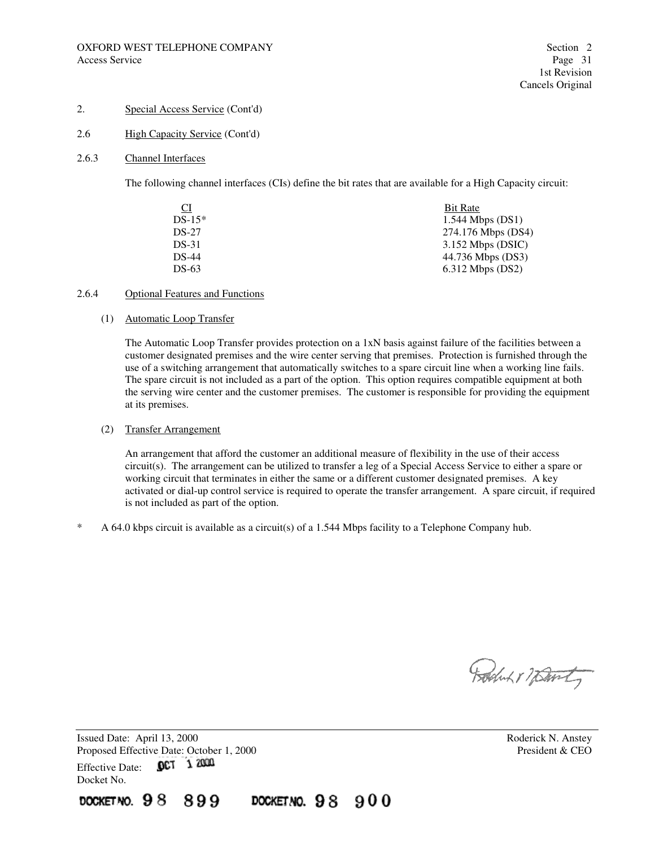#### 2.6 High Capacity Service (Cont'd)

#### 2.6.3 Channel Interfaces

The following channel interfaces (CIs) define the bit rates that are available for a High Capacity circuit:

| Bit Rate            |
|---------------------|
| $1.544$ Mbps (DS1)  |
| 274.176 Mbps (DS4)  |
| $3.152$ Mbps (DSIC) |
| 44.736 Mbps (DS3)   |
| $6.312$ Mbps (DS2)  |
|                     |

#### 2.6.4 Optional Features and Functions

## (1) Automatic Loop Transfer

The Automatic Loop Transfer provides protection on a 1xN basis against failure of the facilities between a customer designated premises and the wire center serving that premises. Protection is furnished through the use of a switching arrangement that automatically switches to a spare circuit line when a working line fails. The spare circuit is not included as a part of the option. This option requires compatible equipment at both the serving wire center and the customer premises. The customer is responsible for providing the equipment at its premises.

#### (2) Transfer Arrangement

An arrangement that afford the customer an additional measure of flexibility in the use of their access circuit(s). The arrangement can be utilized to transfer a leg of a Special Access Service to either a spare or working circuit that terminates in either the same or a different customer designated premises. A key activated or dial-up control service is required to operate the transfer arrangement. A spare circuit, if required is not included as part of the option.

\* A 64.0 kbps circuit is available as a circuit(s) of a 1.544 Mbps facility to a Telephone Company hub.

DOCKETNO.  $98900$ 

Boston 17 David

Issued Date: April 13, 2000 **Roderick N. Anstey** Proposed Effective Date: October 1, 2000 President & CEO Effective Date: 0CT 1 2000 Docket No. DOCKET NO. 98 899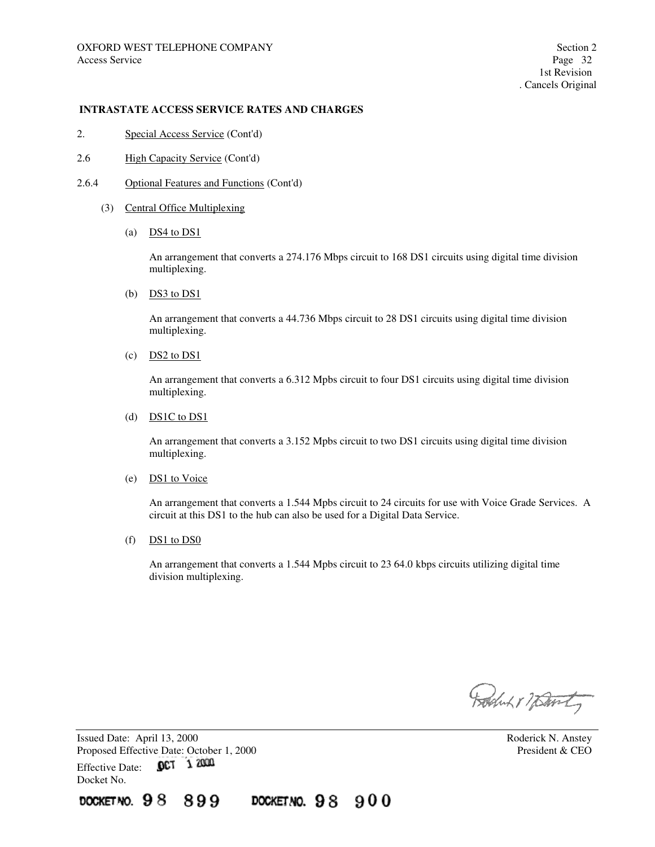- 2. Special Access Service (Cont'd)
- 2.6 High Capacity Service (Cont'd)
- 2.6.4 Optional Features and Functions (Cont'd)
	- (3) Central Office Multiplexing
		- (a)  $DS4$  to  $DS1$

An arrangement that converts a 274.176 Mbps circuit to 168 DS1 circuits using digital time division multiplexing.

(b)  $DS3$  to DS1

An arrangement that converts a 44.736 Mbps circuit to 28 DS1 circuits using digital time division multiplexing.

 $(c)$  DS2 to DS1

An arrangement that converts a 6.312 Mpbs circuit to four DS1 circuits using digital time division multiplexing.

(d) DS1C to DS1

An arrangement that converts a 3.152 Mpbs circuit to two DS1 circuits using digital time division multiplexing.

(e) DS1 to Voice

An arrangement that converts a 1.544 Mpbs circuit to 24 circuits for use with Voice Grade Services. A circuit at this DS1 to the hub can also be used for a Digital Data Service.

 $(f)$  DS1 to DS0

An arrangement that converts a 1.544 Mpbs circuit to 23 64.0 kbps circuits utilizing digital time division multiplexing.

DOCKETNO. 98 900

Boluk 17 Davity

Issued Date: April 13, 2000 **Roderick N. Anstey** Proposed Effective Date: October 1, 2000 President & CEO Effective Date: 0CT 1 2000 Docket No.

899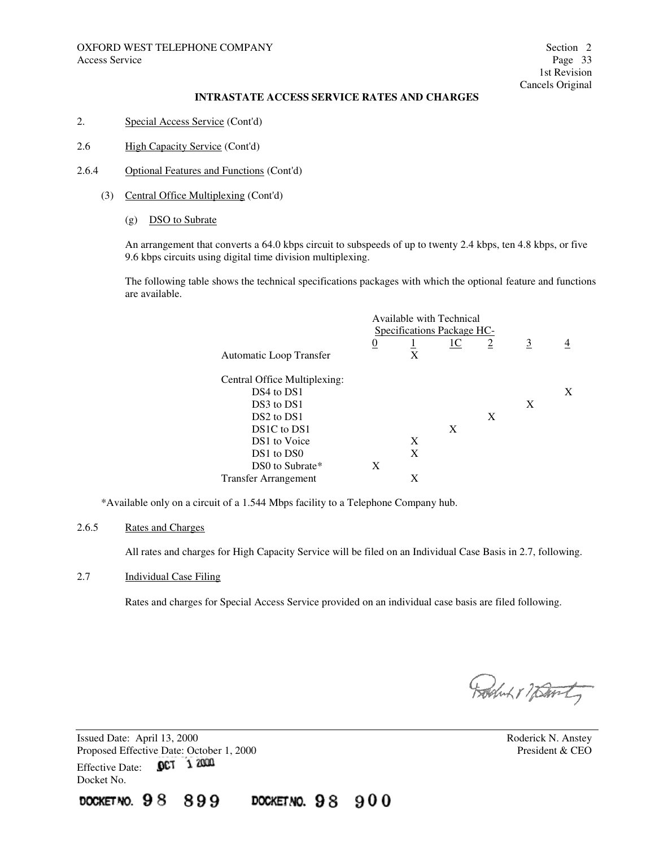- 2. Special Access Service (Cont'd)
- 2.6 High Capacity Service (Cont'd)
- 2.6.4 Optional Features and Functions (Cont'd)
	- (3) Central Office Multiplexing (Cont'd)
		- (g) DSO to Subrate

An arrangement that converts a 64.0 kbps circuit to subspeeds of up to twenty 2.4 kbps, ten 4.8 kbps, or five 9.6 kbps circuits using digital time division multiplexing.

The following table shows the technical specifications packages with which the optional feature and functions are available.

|                                    | Available with Technical   |   |    |                |                |   |
|------------------------------------|----------------------------|---|----|----------------|----------------|---|
|                                    | Specifications Package HC- |   |    |                |                |   |
|                                    | $\overline{0}$             |   | 1C | $\overline{2}$ | $\overline{3}$ |   |
| Automatic Loop Transfer            |                            | X |    |                |                |   |
| Central Office Multiplexing:       |                            |   |    |                |                |   |
| DS4 to DS1                         |                            |   |    |                |                | X |
| DS3 to DS1                         |                            |   |    |                | X              |   |
| DS <sub>2</sub> to D <sub>S1</sub> |                            |   |    | X              |                |   |
| DS1C to DS1                        |                            |   | X  |                |                |   |
| DS1 to Voice                       |                            | X |    |                |                |   |
| DS1 to DS0                         |                            | X |    |                |                |   |
| DS0 to Subrate*                    | X                          |   |    |                |                |   |
| <b>Transfer Arrangement</b>        |                            | X |    |                |                |   |

\*Available only on a circuit of a 1.544 Mbps facility to a Telephone Company hub.

#### 2.6.5 Rates and Charges

All rates and charges for High Capacity Service will be filed on an Individual Case Basis in 2.7, following.

## 2.7 Individual Case Filing

Rates and charges for Special Access Service provided on an individual case basis are filed following.

DOCKETNO. 98 900

Boduk & namt

Issued Date: April 13, 2000 **Roderick N. Anstey** Proposed Effective Date: October 1, 2000 President & CEO Effective Date: 0CT 1 2000 Docket No.

899

docket no.  $98$